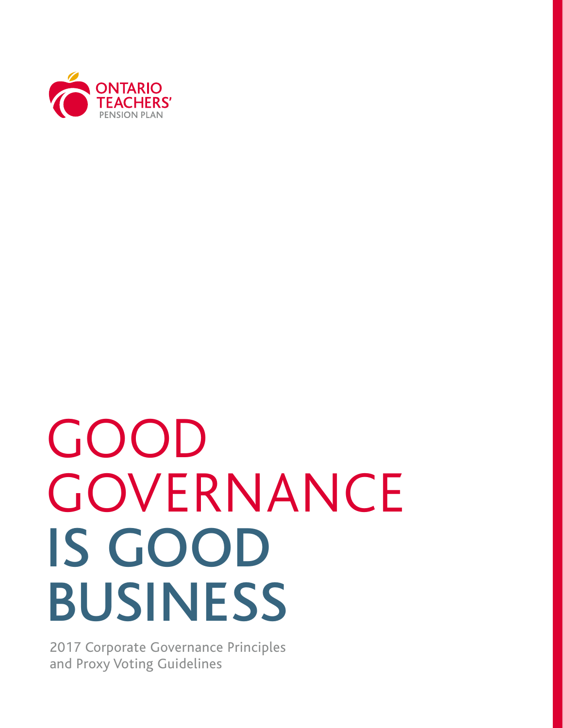

# GOOD **GOVERNANCE** IS GOOD BUSINESS

2017 Corporate Governance Principles and Proxy Voting Guidelines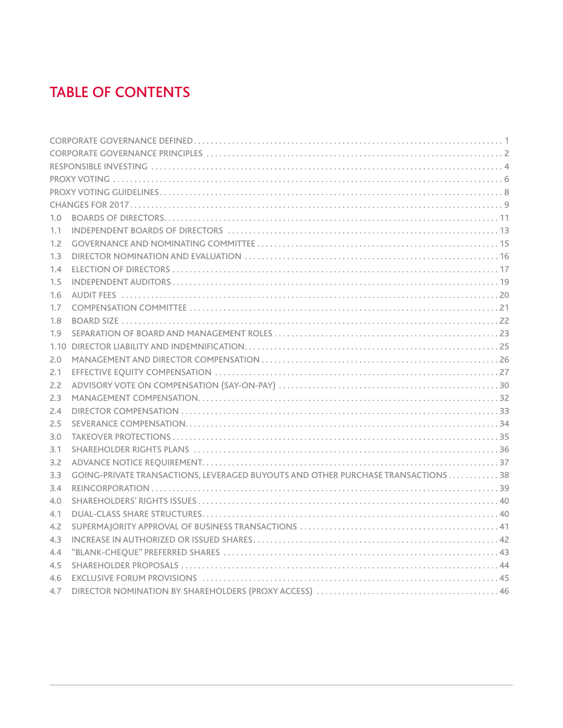### **TABLE OF CONTENTS**

| 1.0 |                                                                                                                |
|-----|----------------------------------------------------------------------------------------------------------------|
| 1.1 |                                                                                                                |
| 1.2 |                                                                                                                |
| 1.3 |                                                                                                                |
| 1.4 |                                                                                                                |
| 1.5 |                                                                                                                |
| 1.6 |                                                                                                                |
| 1.7 |                                                                                                                |
| 1.8 |                                                                                                                |
| 1.9 |                                                                                                                |
|     |                                                                                                                |
| 2.0 |                                                                                                                |
| 2.1 |                                                                                                                |
| 2.2 |                                                                                                                |
| 2.3 |                                                                                                                |
| 2.4 |                                                                                                                |
| 2.5 |                                                                                                                |
| 3.0 |                                                                                                                |
| 3.1 |                                                                                                                |
| 3.2 |                                                                                                                |
| 3.3 | GOING-PRIVATE TRANSACTIONS. LEVERAGED BUYOUTS AND OTHER PURCHASE TRANSACTIONS 38                               |
| 3.4 |                                                                                                                |
| 4.0 |                                                                                                                |
| 4.1 |                                                                                                                |
| 4.2 |                                                                                                                |
| 4.3 |                                                                                                                |
| 4.4 |                                                                                                                |
| 4.5 |                                                                                                                |
| 4.6 | EXCLUSIVE FORUM PROVISIONS (and according to the control of the control of the control of the control of the c |
| 4.7 |                                                                                                                |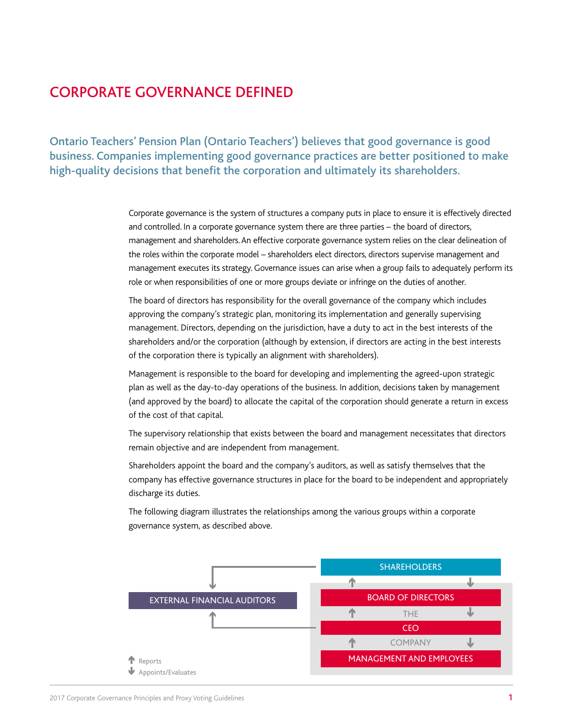### CORPORATE GOVERNANCE DEFINED

Ontario Teachers' Pension Plan (Ontario Teachers') believes that good governance is good business. Companies implementing good governance practices are better positioned to make high-quality decisions that benefit the corporation and ultimately its shareholders.

> Corporate governance is the system of structures a company puts in place to ensure it is effectively directed and controlled. In a corporate governance system there are three parties – the board of directors, management and shareholders. An effective corporate governance system relies on the clear delineation of the roles within the corporate model – shareholders elect directors, directors supervise management and management executes its strategy. Governance issues can arise when a group fails to adequately perform its role or when responsibilities of one or more groups deviate or infringe on the duties of another.

The board of directors has responsibility for the overall governance of the company which includes approving the company's strategic plan, monitoring its implementation and generally supervising management. Directors, depending on the jurisdiction, have a duty to act in the best interests of the shareholders and/or the corporation (although by extension, if directors are acting in the best interests of the corporation there is typically an alignment with shareholders).

Management is responsible to the board for developing and implementing the agreed-upon strategic plan as well as the day-to-day operations of the business. In addition, decisions taken by management (and approved by the board) to allocate the capital of the corporation should generate a return in excess of the cost of that capital.

The supervisory relationship that exists between the board and management necessitates that directors remain objective and are independent from management.

Shareholders appoint the board and the company's auditors, as well as satisfy themselves that the company has effective governance structures in place for the board to be independent and appropriately discharge its duties.

The following diagram illustrates the relationships among the various groups within a corporate governance system, as described above.

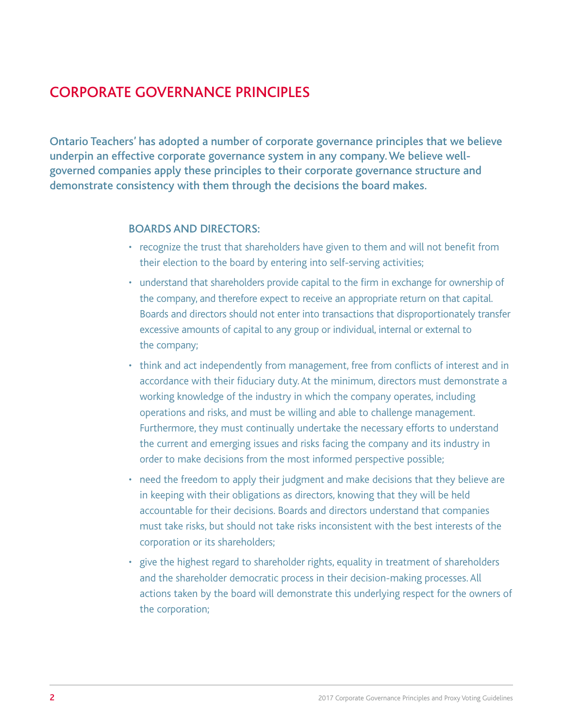### CORPORATE GOVERNANCE PRINCIPLES

Ontario Teachers' has adopted a number of corporate governance principles that we believe underpin an effective corporate governance system in any company. We believe wellgoverned companies apply these principles to their corporate governance structure and demonstrate consistency with them through the decisions the board makes.

#### BOARDS AND DIRECTORS:

- recognize the trust that shareholders have given to them and will not benefit from their election to the board by entering into self-serving activities;
- understand that shareholders provide capital to the firm in exchange for ownership of the company, and therefore expect to receive an appropriate return on that capital. Boards and directors should not enter into transactions that disproportionately transfer excessive amounts of capital to any group or individual, internal or external to the company;
- think and act independently from management, free from conflicts of interest and in accordance with their fiduciary duty. At the minimum, directors must demonstrate a working knowledge of the industry in which the company operates, including operations and risks, and must be willing and able to challenge management. Furthermore, they must continually undertake the necessary efforts to understand the current and emerging issues and risks facing the company and its industry in order to make decisions from the most informed perspective possible;
- need the freedom to apply their judgment and make decisions that they believe are in keeping with their obligations as directors, knowing that they will be held accountable for their decisions. Boards and directors understand that companies must take risks, but should not take risks inconsistent with the best interests of the corporation or its shareholders;
- give the highest regard to shareholder rights, equality in treatment of shareholders and the shareholder democratic process in their decision-making processes. All actions taken by the board will demonstrate this underlying respect for the owners of the corporation;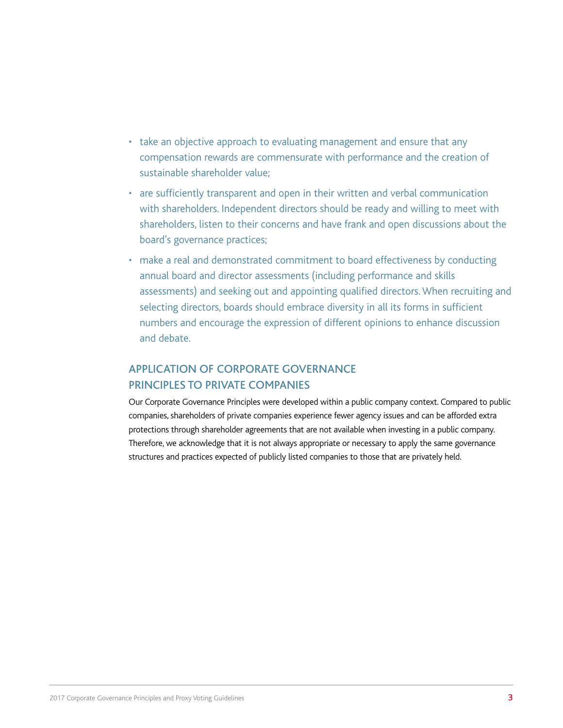- take an objective approach to evaluating management and ensure that any compensation rewards are commensurate with performance and the creation of sustainable shareholder value;
- are sufficiently transparent and open in their written and verbal communication with shareholders. Independent directors should be ready and willing to meet with shareholders, listen to their concerns and have frank and open discussions about the board's governance practices;
- make a real and demonstrated commitment to board effectiveness by conducting annual board and director assessments (including performance and skills assessments) and seeking out and appointing qualified directors. When recruiting and selecting directors, boards should embrace diversity in all its forms in sufficient numbers and encourage the expression of different opinions to enhance discussion and debate.

#### APPLICATION OF CORPORATE GOVERNANCE PRINCIPLES TO PRIVATE COMPANIES

Our Corporate Governance Principles were developed within a public company context. Compared to public companies, shareholders of private companies experience fewer agency issues and can be afforded extra protections through shareholder agreements that are not available when investing in a public company. Therefore, we acknowledge that it is not always appropriate or necessary to apply the same governance structures and practices expected of publicly listed companies to those that are privately held.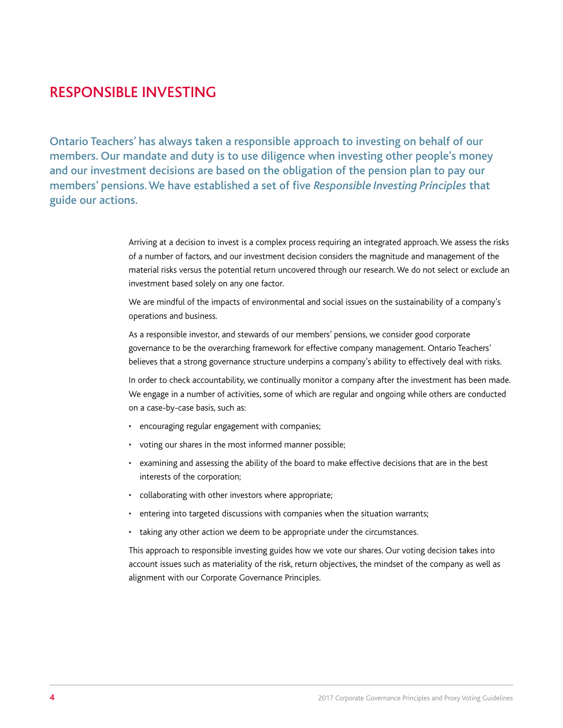### RESPONSIBLE INVESTING

Ontario Teachers' has always taken a responsible approach to investing on behalf of our members. Our mandate and duty is to use diligence when investing other people's money and our investment decisions are based on the obligation of the pension plan to pay our members' pensions. We have established a set of five *Responsible Investing Principles* that guide our actions.

> Arriving at a decision to invest is a complex process requiring an integrated approach. We assess the risks of a number of factors, and our investment decision considers the magnitude and management of the material risks versus the potential return uncovered through our research. We do not select or exclude an investment based solely on any one factor.

We are mindful of the impacts of environmental and social issues on the sustainability of a company's operations and business.

As a responsible investor, and stewards of our members' pensions, we consider good corporate governance to be the overarching framework for effective company management. Ontario Teachers' believes that a strong governance structure underpins a company's ability to effectively deal with risks.

In order to check accountability, we continually monitor a company after the investment has been made. We engage in a number of activities, some of which are regular and ongoing while others are conducted on a case-by-case basis, such as:

- encouraging regular engagement with companies;
- voting our shares in the most informed manner possible;
- examining and assessing the ability of the board to make effective decisions that are in the best interests of the corporation;
- collaborating with other investors where appropriate;
- entering into targeted discussions with companies when the situation warrants;
- taking any other action we deem to be appropriate under the circumstances.

This approach to responsible investing guides how we vote our shares. Our voting decision takes into account issues such as materiality of the risk, return objectives, the mindset of the company as well as alignment with our Corporate Governance Principles.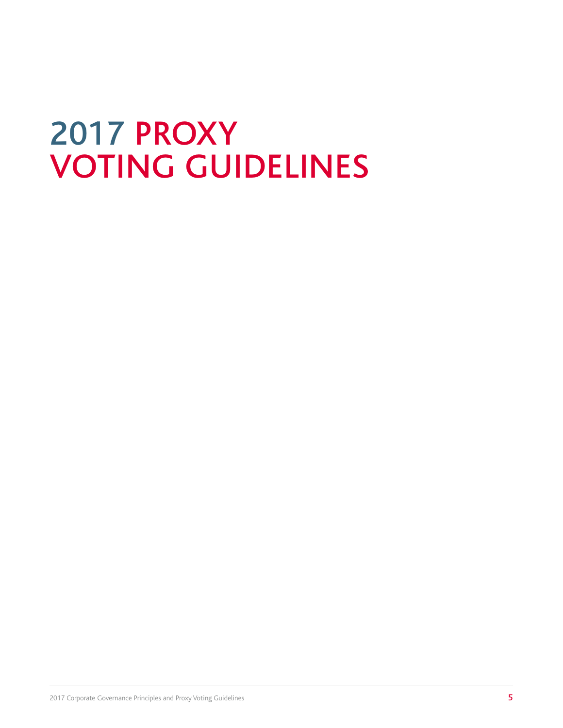### 2017 PROXY VOTING GUIDELINES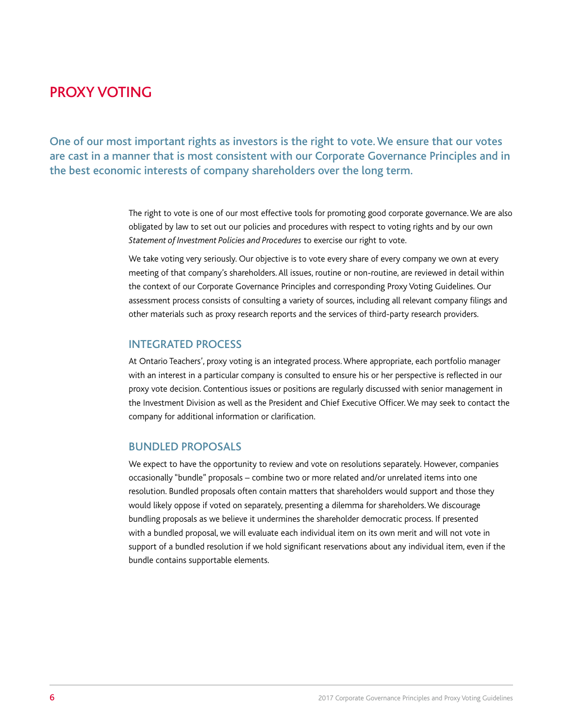### PROXY VOTING

One of our most important rights as investors is the right to vote. We ensure that our votes are cast in a manner that is most consistent with our Corporate Governance Principles and in the best economic interests of company shareholders over the long term.

> The right to vote is one of our most effective tools for promoting good corporate governance. We are also obligated by law to set out our policies and procedures with respect to voting rights and by our own *Statement of Investment Policies and Procedures* to exercise our right to vote.

We take voting very seriously. Our objective is to vote every share of every company we own at every meeting of that company's shareholders. All issues, routine or non-routine, are reviewed in detail within the context of our Corporate Governance Principles and corresponding Proxy Voting Guidelines. Our assessment process consists of consulting a variety of sources, including all relevant company filings and other materials such as proxy research reports and the services of third-party research providers.

#### INTEGRATED PROCESS

At Ontario Teachers', proxy voting is an integrated process. Where appropriate, each portfolio manager with an interest in a particular company is consulted to ensure his or her perspective is reflected in our proxy vote decision. Contentious issues or positions are regularly discussed with senior management in the Investment Division as well as the President and Chief Executive Officer. We may seek to contact the company for additional information or clarification.

#### BUNDLED PROPOSALS

We expect to have the opportunity to review and vote on resolutions separately. However, companies occasionally "bundle" proposals – combine two or more related and/or unrelated items into one resolution. Bundled proposals often contain matters that shareholders would support and those they would likely oppose if voted on separately, presenting a dilemma for shareholders. We discourage bundling proposals as we believe it undermines the shareholder democratic process. If presented with a bundled proposal, we will evaluate each individual item on its own merit and will not vote in support of a bundled resolution if we hold significant reservations about any individual item, even if the bundle contains supportable elements.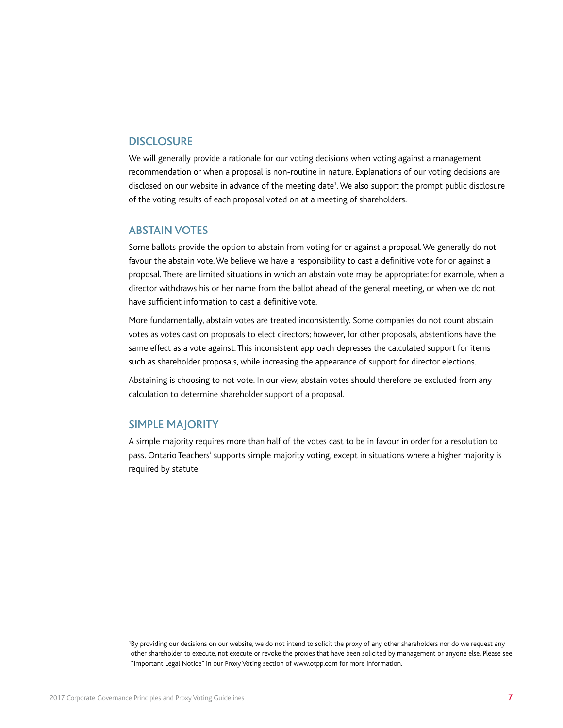#### **DISCLOSURE**

We will generally provide a rationale for our voting decisions when voting against a management recommendation or when a proposal is non-routine in nature. Explanations of our voting decisions are disclosed on our website in advance of the meeting date<sup>1</sup>. We also support the prompt public disclosure of the voting results of each proposal voted on at a meeting of shareholders.

#### ABSTAIN VOTES

Some ballots provide the option to abstain from voting for or against a proposal. We generally do not favour the abstain vote. We believe we have a responsibility to cast a definitive vote for or against a proposal. There are limited situations in which an abstain vote may be appropriate: for example, when a director withdraws his or her name from the ballot ahead of the general meeting, or when we do not have sufficient information to cast a definitive vote.

More fundamentally, abstain votes are treated inconsistently. Some companies do not count abstain votes as votes cast on proposals to elect directors; however, for other proposals, abstentions have the same effect as a vote against. This inconsistent approach depresses the calculated support for items such as shareholder proposals, while increasing the appearance of support for director elections.

Abstaining is choosing to not vote. In our view, abstain votes should therefore be excluded from any calculation to determine shareholder support of a proposal.

#### SIMPLE MAJORITY

A simple majority requires more than half of the votes cast to be in favour in order for a resolution to pass. Ontario Teachers' supports simple majority voting, except in situations where a higher majority is required by statute.

1 By providing our decisions on our website, we do not intend to solicit the proxy of any other shareholders nor do we request any other shareholder to execute, not execute or revoke the proxies that have been solicited by management or anyone else. Please see "Important Legal Notice" in our Proxy Voting section of www.otpp.com for more information.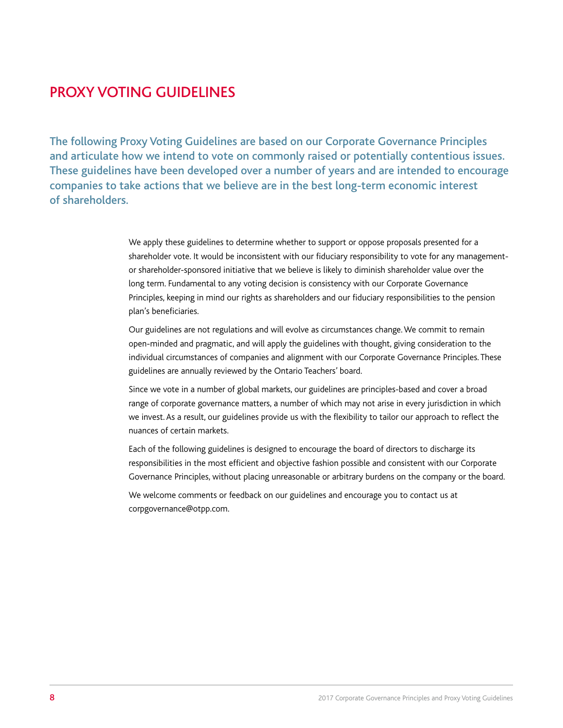### PROXY VOTING GUIDELINES

The following Proxy Voting Guidelines are based on our Corporate Governance Principles and articulate how we intend to vote on commonly raised or potentially contentious issues. These guidelines have been developed over a number of years and are intended to encourage companies to take actions that we believe are in the best long-term economic interest of shareholders.

> We apply these guidelines to determine whether to support or oppose proposals presented for a shareholder vote. It would be inconsistent with our fiduciary responsibility to vote for any managementor shareholder-sponsored initiative that we believe is likely to diminish shareholder value over the long term. Fundamental to any voting decision is consistency with our Corporate Governance Principles, keeping in mind our rights as shareholders and our fiduciary responsibilities to the pension plan's beneficiaries.

Our guidelines are not regulations and will evolve as circumstances change. We commit to remain open-minded and pragmatic, and will apply the guidelines with thought, giving consideration to the individual circumstances of companies and alignment with our Corporate Governance Principles. These guidelines are annually reviewed by the Ontario Teachers' board.

Since we vote in a number of global markets, our guidelines are principles-based and cover a broad range of corporate governance matters, a number of which may not arise in every jurisdiction in which we invest. As a result, our guidelines provide us with the flexibility to tailor our approach to reflect the nuances of certain markets.

Each of the following guidelines is designed to encourage the board of directors to discharge its responsibilities in the most efficient and objective fashion possible and consistent with our Corporate Governance Principles, without placing unreasonable or arbitrary burdens on the company or the board.

We welcome comments or feedback on our guidelines and encourage you to contact us at corpgovernance@otpp.com.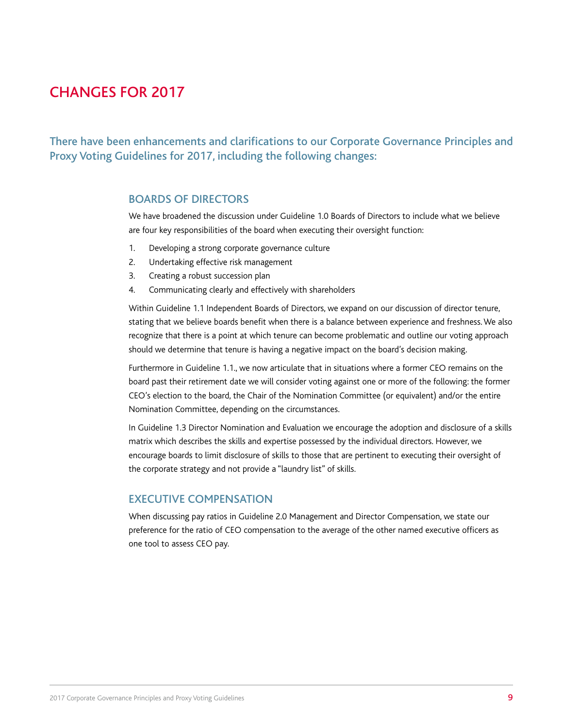### CHANGES FOR 2017

There have been enhancements and clarifications to our Corporate Governance Principles and Proxy Voting Guidelines for 2017, including the following changes:

#### BOARDS OF DIRECTORS

We have broadened the discussion under Guideline 1.0 Boards of Directors to include what we believe are four key responsibilities of the board when executing their oversight function:

- 1. Developing a strong corporate governance culture
- 2. Undertaking effective risk management
- 3. Creating a robust succession plan
- 4. Communicating clearly and effectively with shareholders

Within Guideline 1.1 Independent Boards of Directors, we expand on our discussion of director tenure, stating that we believe boards benefit when there is a balance between experience and freshness. We also recognize that there is a point at which tenure can become problematic and outline our voting approach should we determine that tenure is having a negative impact on the board's decision making.

Furthermore in Guideline 1.1., we now articulate that in situations where a former CEO remains on the board past their retirement date we will consider voting against one or more of the following: the former CEO's election to the board, the Chair of the Nomination Committee (or equivalent) and/or the entire Nomination Committee, depending on the circumstances.

In Guideline 1.3 Director Nomination and Evaluation we encourage the adoption and disclosure of a skills matrix which describes the skills and expertise possessed by the individual directors. However, we encourage boards to limit disclosure of skills to those that are pertinent to executing their oversight of the corporate strategy and not provide a "laundry list" of skills.

#### EXECUTIVE COMPENSATION

When discussing pay ratios in Guideline 2.0 Management and Director Compensation, we state our preference for the ratio of CEO compensation to the average of the other named executive officers as one tool to assess CEO pay.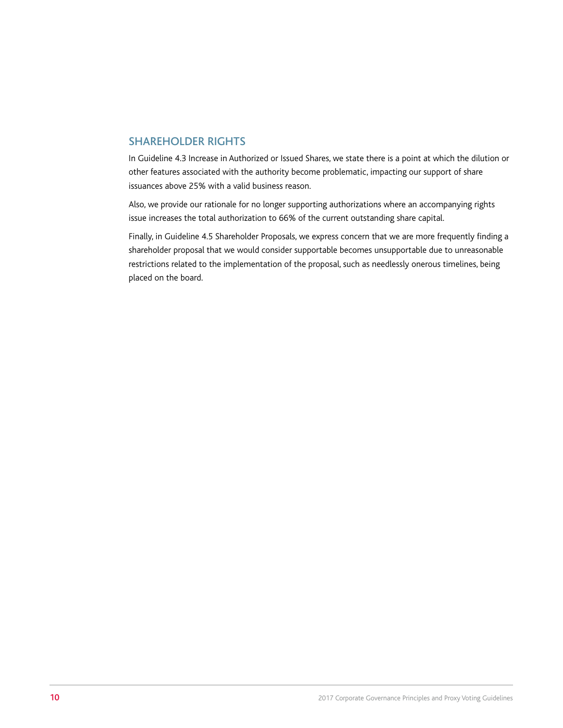#### SHAREHOLDER RIGHTS

In Guideline 4.3 Increase in Authorized or Issued Shares, we state there is a point at which the dilution or other features associated with the authority become problematic, impacting our support of share issuances above 25% with a valid business reason.

Also, we provide our rationale for no longer supporting authorizations where an accompanying rights issue increases the total authorization to 66% of the current outstanding share capital.

Finally, in Guideline 4.5 Shareholder Proposals, we express concern that we are more frequently finding a shareholder proposal that we would consider supportable becomes unsupportable due to unreasonable restrictions related to the implementation of the proposal, such as needlessly onerous timelines, being placed on the board.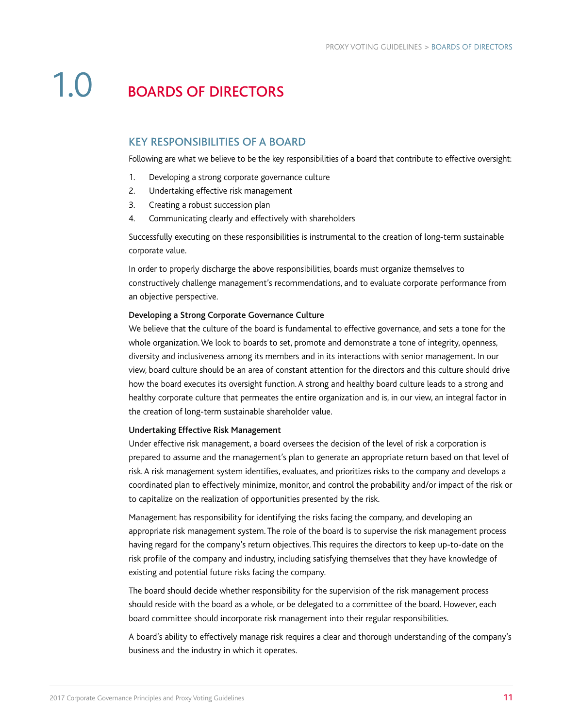### 1.0 BOARDS OF DIRECTORS

#### KEY RESPONSIBILITIES OF A BOARD

Following are what we believe to be the key responsibilities of a board that contribute to effective oversight:

- 1. Developing a strong corporate governance culture
- 2. Undertaking effective risk management
- 3. Creating a robust succession plan
- 4. Communicating clearly and effectively with shareholders

Successfully executing on these responsibilities is instrumental to the creation of long-term sustainable corporate value.

In order to properly discharge the above responsibilities, boards must organize themselves to constructively challenge management's recommendations, and to evaluate corporate performance from an objective perspective.

#### Developing a Strong Corporate Governance Culture

We believe that the culture of the board is fundamental to effective governance, and sets a tone for the whole organization. We look to boards to set, promote and demonstrate a tone of integrity, openness, diversity and inclusiveness among its members and in its interactions with senior management. In our view, board culture should be an area of constant attention for the directors and this culture should drive how the board executes its oversight function. A strong and healthy board culture leads to a strong and healthy corporate culture that permeates the entire organization and is, in our view, an integral factor in the creation of long-term sustainable shareholder value.

#### Undertaking Effective Risk Management

Under effective risk management, a board oversees the decision of the level of risk a corporation is prepared to assume and the management's plan to generate an appropriate return based on that level of risk. A risk management system identifies, evaluates, and prioritizes risks to the company and develops a coordinated plan to effectively minimize, monitor, and control the probability and/or impact of the risk or to capitalize on the realization of opportunities presented by the risk.

Management has responsibility for identifying the risks facing the company, and developing an appropriate risk management system. The role of the board is to supervise the risk management process having regard for the company's return objectives. This requires the directors to keep up-to-date on the risk profile of the company and industry, including satisfying themselves that they have knowledge of existing and potential future risks facing the company.

The board should decide whether responsibility for the supervision of the risk management process should reside with the board as a whole, or be delegated to a committee of the board. However, each board committee should incorporate risk management into their regular responsibilities.

A board's ability to effectively manage risk requires a clear and thorough understanding of the company's business and the industry in which it operates.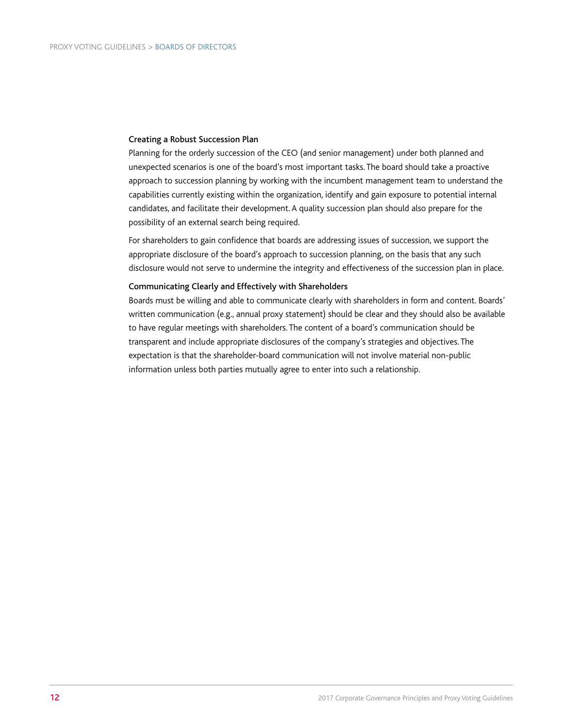#### Creating a Robust Succession Plan

Planning for the orderly succession of the CEO (and senior management) under both planned and unexpected scenarios is one of the board's most important tasks. The board should take a proactive approach to succession planning by working with the incumbent management team to understand the capabilities currently existing within the organization, identify and gain exposure to potential internal candidates, and facilitate their development. A quality succession plan should also prepare for the possibility of an external search being required.

For shareholders to gain confidence that boards are addressing issues of succession, we support the appropriate disclosure of the board's approach to succession planning, on the basis that any such disclosure would not serve to undermine the integrity and effectiveness of the succession plan in place.

#### Communicating Clearly and Effectively with Shareholders

Boards must be willing and able to communicate clearly with shareholders in form and content. Boards' written communication (e.g., annual proxy statement) should be clear and they should also be available to have regular meetings with shareholders. The content of a board's communication should be transparent and include appropriate disclosures of the company's strategies and objectives. The expectation is that the shareholder-board communication will not involve material non-public information unless both parties mutually agree to enter into such a relationship.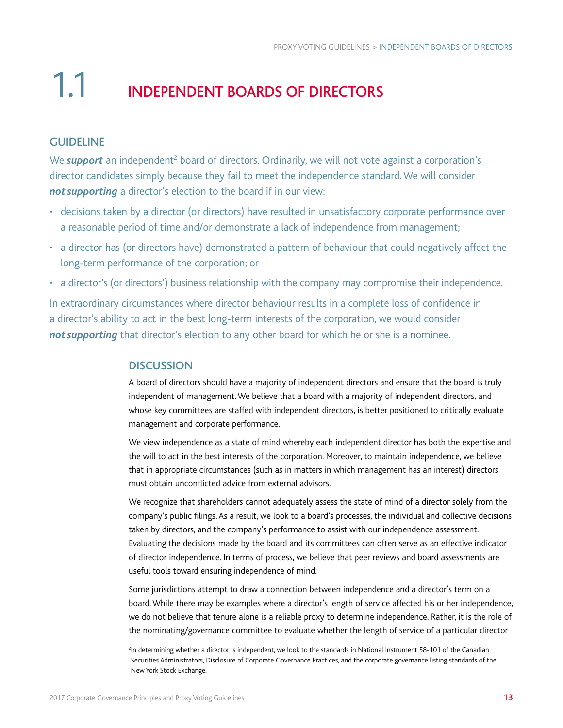### 1.1 INDEPENDENT BOARDS OF DIRECTORS

#### GUIDELINE

We **support** an independent<sup>2</sup> board of directors. Ordinarily, we will not vote against a corporation's director candidates simply because they fail to meet the independence standard. We will consider **not supporting** a director's election to the board if in our view:

- decisions taken by a director (or directors) have resulted in unsatisfactory corporate performance over a reasonable period of time and/or demonstrate a lack of independence from management;
- a director has (or directors have) demonstrated a pattern of behaviour that could negatively affect the long-term performance of the corporation; or
- a director's (or directors') business relationship with the company may compromise their independence.

In extraordinary circumstances where director behaviour results in a complete loss of confidence in a director's ability to act in the best long-term interests of the corporation, we would consider not supporting that director's election to any other board for which he or she is a nominee.

#### **DISCUSSION**

A board of directors should have a majority of independent directors and ensure that the board is truly independent of management. We believe that a board with a majority of independent directors, and whose key committees are staffed with independent directors, is better positioned to critically evaluate management and corporate performance.

We view independence as a state of mind whereby each independent director has both the expertise and the will to act in the best interests of the corporation. Moreover, to maintain independence, we believe that in appropriate circumstances (such as in matters in which management has an interest) directors must obtain unconflicted advice from external advisors.

We recognize that shareholders cannot adequately assess the state of mind of a director solely from the company's public filings. As a result, we look to a board's processes, the individual and collective decisions taken by directors, and the company's performance to assist with our independence assessment. Evaluating the decisions made by the board and its committees can often serve as an effective indicator of director independence. In terms of process, we believe that peer reviews and board assessments are useful tools toward ensuring independence of mind.

Some jurisdictions attempt to draw a connection between independence and a director's term on a board. While there may be examples where a director's length of service affected his or her independence, we do not believe that tenure alone is a reliable proxy to determine independence. Rather, it is the role of the nominating/governance committee to evaluate whether the length of service of a particular director

<sup>2</sup> In determining whether a director is independent, we look to the standards in National Instrument 58-101 of the Canadian Securities Administrators, Disclosure of Corporate Governance Practices, and the corporate governance listing standards of the NewYork Stock Exchange.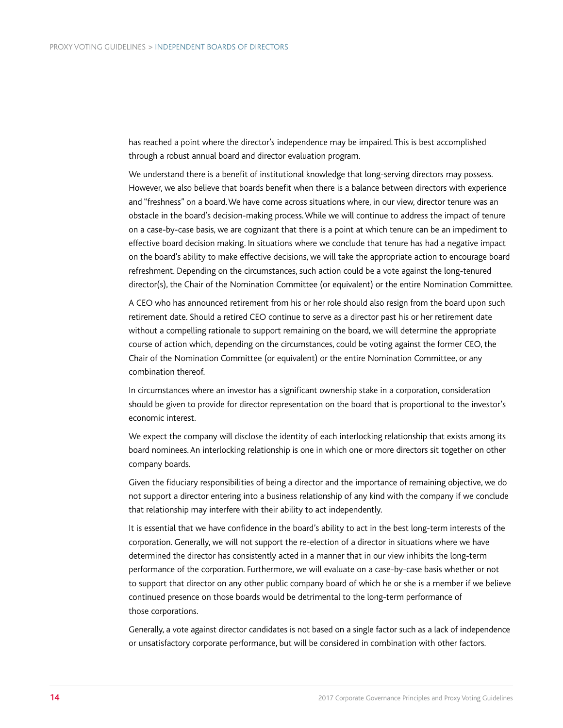has reached a point where the director's independence may be impaired. This is best accomplished through a robust annual board and director evaluation program.

We understand there is a benefit of institutional knowledge that long-serving directors may possess. However, we also believe that boards benefit when there is a balance between directors with experience and "freshness" on a board. We have come across situations where, in our view, director tenure was an obstacle in the board's decision-making process. While we will continue to address the impact of tenure on a case-by-case basis, we are cognizant that there is a point at which tenure can be an impediment to effective board decision making. In situations where we conclude that tenure has had a negative impact on the board's ability to make effective decisions, we will take the appropriate action to encourage board refreshment. Depending on the circumstances, such action could be a vote against the long-tenured director(s), the Chair of the Nomination Committee (or equivalent) or the entire Nomination Committee.

A CEO who has announced retirement from his or her role should also resign from the board upon such retirement date. Should a retired CEO continue to serve as a director past his or her retirement date without a compelling rationale to support remaining on the board, we will determine the appropriate course of action which, depending on the circumstances, could be voting against the former CEO, the Chair of the Nomination Committee (or equivalent) or the entire Nomination Committee, or any combination thereof.

In circumstances where an investor has a significant ownership stake in a corporation, consideration should be given to provide for director representation on the board that is proportional to the investor's economic interest.

We expect the company will disclose the identity of each interlocking relationship that exists among its board nominees. An interlocking relationship is one in which one or more directors sit together on other company boards.

Given the fiduciary responsibilities of being a director and the importance of remaining objective, we do not support a director entering into a business relationship of any kind with the company if we conclude that relationship may interfere with their ability to act independently.

It is essential that we have confidence in the board's ability to act in the best long-term interests of the corporation. Generally, we will not support the re-election of a director in situations where we have determined the director has consistently acted in a manner that in our view inhibits the long-term performance of the corporation. Furthermore, we will evaluate on a case-by-case basis whether or not to support that director on any other public company board of which he or she is a member if we believe continued presence on those boards would be detrimental to the long-term performance of those corporations.

Generally, a vote against director candidates is not based on a single factor such as a lack of independence or unsatisfactory corporate performance, but will be considered in combination with other factors.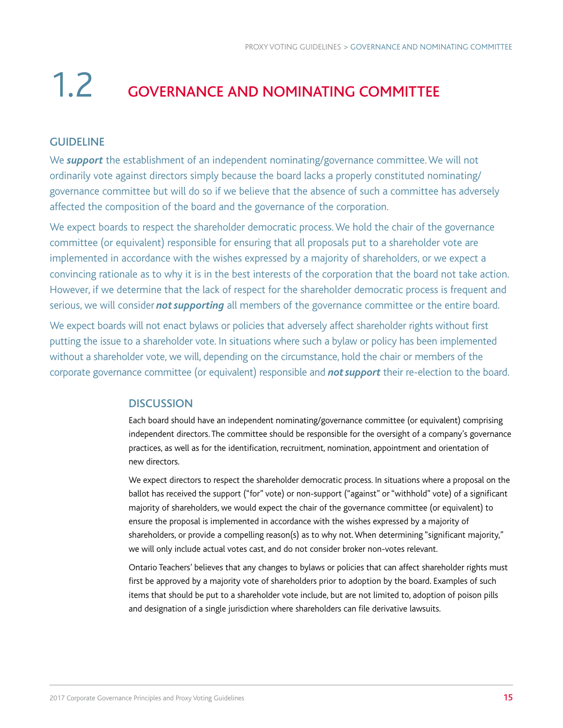### 1.2 GOVERNANCE AND NOMINATING COMMITTEE

#### GUIDELINE

We *support* the establishment of an independent nominating/governance committee. We will not ordinarily vote against directors simply because the board lacks a properly constituted nominating/ governance committee but will do so if we believe that the absence of such a committee has adversely affected the composition of the board and the governance of the corporation.

We expect boards to respect the shareholder democratic process. We hold the chair of the governance committee (or equivalent) responsible for ensuring that all proposals put to a shareholder vote are implemented in accordance with the wishes expressed by a majority of shareholders, or we expect a convincing rationale as to why it is in the best interests of the corporation that the board not take action. However, if we determine that the lack of respect for the shareholder democratic process is frequent and serious, we will consider *not supporting* all members of the governance committee or the entire board.

We expect boards will not enact bylaws or policies that adversely affect shareholder rights without first putting the issue to a shareholder vote. In situations where such a bylaw or policy has been implemented without a shareholder vote, we will, depending on the circumstance, hold the chair or members of the corporate governance committee (or equivalent) responsible and *not support* their re-election to the board.

#### **DISCUSSION**

Each board should have an independent nominating/governance committee (or equivalent) comprising independent directors. The committee should be responsible for the oversight of a company's governance practices, as well as for the identification, recruitment, nomination, appointment and orientation of new directors.

We expect directors to respect the shareholder democratic process. In situations where a proposal on the ballot has received the support ("for" vote) or non-support ("against" or "withhold" vote) of a significant majority of shareholders, we would expect the chair of the governance committee (or equivalent) to ensure the proposal is implemented in accordance with the wishes expressed by a majority of shareholders, or provide a compelling reason(s) as to why not. When determining "significant majority," we will only include actual votes cast, and do not consider broker non-votes relevant.

Ontario Teachers' believes that any changes to bylaws or policies that can affect shareholder rights must first be approved by a majority vote of shareholders prior to adoption by the board. Examples of such items that should be put to a shareholder vote include, but are not limited to, adoption of poison pills and designation of a single jurisdiction where shareholders can file derivative lawsuits.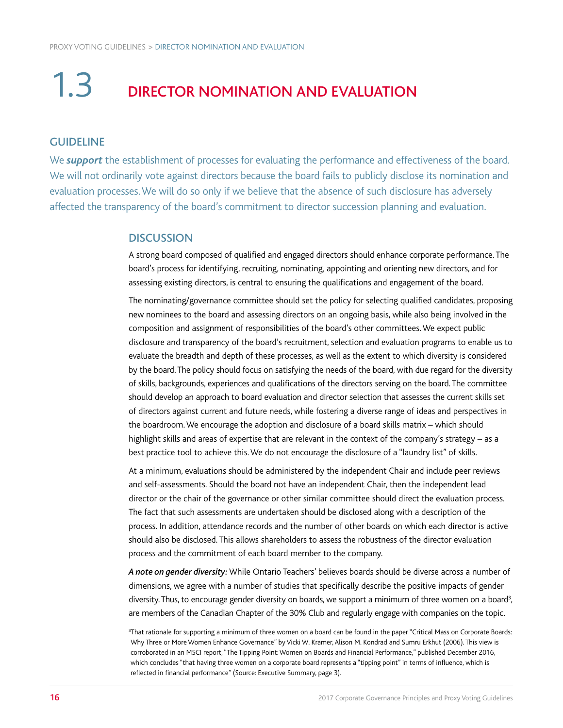### 1.3 DIRECTOR NOMINATION AND EVALUATION

#### GUIDELINE

We *support* the establishment of processes for evaluating the performance and effectiveness of the board. We will not ordinarily vote against directors because the board fails to publicly disclose its nomination and evaluation processes. We will do so only if we believe that the absence of such disclosure has adversely affected the transparency of the board's commitment to director succession planning and evaluation.

#### **DISCUSSION**

A strong board composed of qualified and engaged directors should enhance corporate performance. The board's process for identifying, recruiting, nominating, appointing and orienting new directors, and for assessing existing directors, is central to ensuring the qualifications and engagement of the board.

The nominating/governance committee should set the policy for selecting qualified candidates, proposing new nominees to the board and assessing directors on an ongoing basis, while also being involved in the composition and assignment of responsibilities of the board's other committees. We expect public disclosure and transparency of the board's recruitment, selection and evaluation programs to enable us to evaluate the breadth and depth of these processes, as well as the extent to which diversity is considered by the board. The policy should focus on satisfying the needs of the board, with due regard for the diversity of skills, backgrounds, experiences and qualifications of the directors serving on the board. The committee should develop an approach to board evaluation and director selection that assesses the current skills set of directors against current and future needs, while fostering a diverse range of ideas and perspectives in the boardroom. We encourage the adoption and disclosure of a board skills matrix – which should highlight skills and areas of expertise that are relevant in the context of the company's strategy – as a best practice tool to achieve this. We do not encourage the disclosure of a "laundry list" of skills.

At a minimum, evaluations should be administered by the independent Chair and include peer reviews and self-assessments. Should the board not have an independent Chair, then the independent lead director or the chair of the governance or other similar committee should direct the evaluation process. The fact that such assessments are undertaken should be disclosed along with a description of the process. In addition, attendance records and the number of other boards on which each director is active should also be disclosed. This allows shareholders to assess the robustness of the director evaluation process and the commitment of each board member to the company.

*A note on gender diversity:* While Ontario Teachers' believes boards should be diverse across a number of dimensions, we agree with a number of studies that specifically describe the positive impacts of gender diversity. Thus, to encourage gender diversity on boards, we support a minimum of three women on a board $^3$ , are members of the Canadian Chapter of the 30% Club and regularly engage with companies on the topic.

<sup>3</sup> That rationale for supporting a minimum of three women on a board can be found in the paper "Critical Mass on Corporate Boards: Why Three or More Women Enhance Governance" by Vicki W. Kramer, Alison M. Kondrad and Sumru Erkhut (2006). This view is corroborated in an MSCI report, "The Tipping Point: Women on Boards and Financial Performance," published December 2016, which concludes "that having three women on a corporate board represents a "tipping point" in terms of influence, which is reflected in financial performance" (Source: Executive Summary, page 3).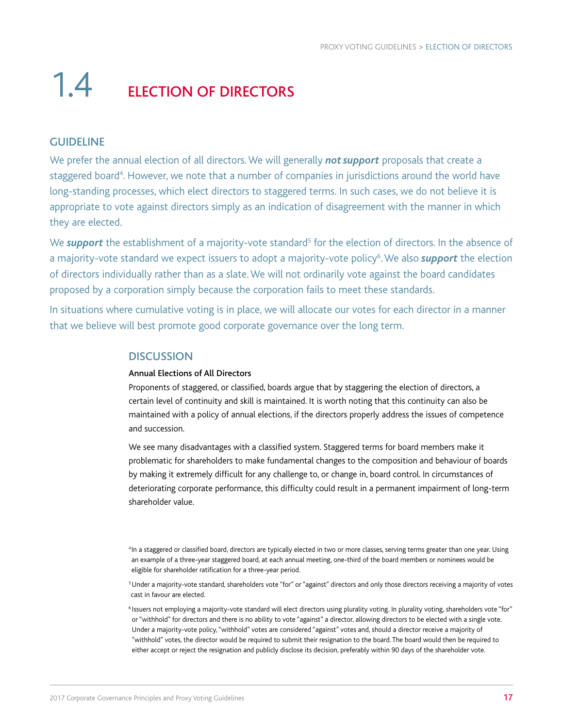## 1.4 ELECTION OF DIRECTORS

#### GUIDELINE

We prefer the annual election of all directors. We will generally *not support* proposals that create a staggered board<sup>4</sup>. However, we note that a number of companies in jurisdictions around the world have long-standing processes, which elect directors to staggered terms. In such cases, we do not believe it is appropriate to vote against directors simply as an indication of disagreement with the manner in which they are elected.

We **support** the establishment of a majority-vote standard<sup>5</sup> for the election of directors. In the absence of a majority-vote standard we expect issuers to adopt a majority-vote policy<sup>6</sup>. We also *support* the election of directors individually rather than as a slate. We will not ordinarily vote against the board candidates proposed by a corporation simply because the corporation fails to meet these standards.

In situations where cumulative voting is in place, we will allocate our votes for each director in a manner that we believe will best promote good corporate governance over the long term.

#### **DISCUSSION**

#### Annual Elections of All Directors

Proponents of staggered, or classified, boards argue that by staggering the election of directors, a certain level of continuity and skill is maintained. It is worth noting that this continuity can also be maintained with a policy of annual elections, if the directors properly address the issues of competence and succession.

We see many disadvantages with a classified system. Staggered terms for board members make it problematic for shareholders to make fundamental changes to the composition and behaviour of boards by making it extremely difficult for any challenge to, or change in, board control. In circumstances of deteriorating corporate performance, this difficulty could result in a permanent impairment of long-term shareholder value.

4In a staggered or classified board, directors are typically elected in two or more classes, serving terms greater than one year. Using an example of a three-year staggered board, at each annual meeting, one-third of the board members or nominees would be eligible for shareholder ratification for a three-year period.

<sup>5</sup>Under a majority-vote standard, shareholders vote "for" or "against" directors and only those directors receiving a majority of votes cast in favour are elected.

 $^6$ Issuers not employing a majority-vote standard will elect directors using plurality voting. In plurality voting, shareholders vote "for" or "withhold" for directors and there is no ability to vote "against" a director, allowing directors to be elected with a single vote. Under a majority-vote policy, "withhold" votes are considered "against" votes and, should a director receive a majority of "withhold" votes, the director would be required to submit their resignation to the board. The board would then be required to either accept or reject the resignation and publicly disclose its decision, preferably within 90 days of the shareholder vote.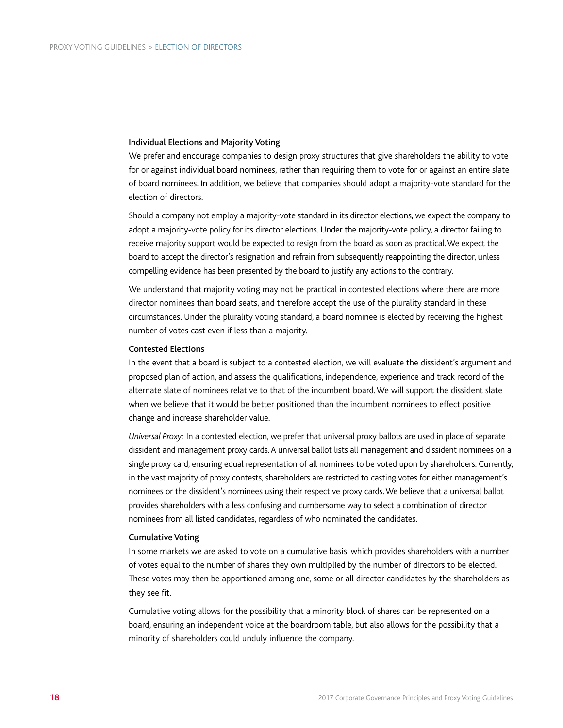#### Individual Elections and Majority Voting

We prefer and encourage companies to design proxy structures that give shareholders the ability to vote for or against individual board nominees, rather than requiring them to vote for or against an entire slate of board nominees. In addition, we believe that companies should adopt a majority-vote standard for the election of directors.

Should a company not employ a majority-vote standard in its director elections, we expect the company to adopt a majority-vote policy for its director elections. Under the majority-vote policy, a director failing to receive majority support would be expected to resign from the board as soon as practical. We expect the board to accept the director's resignation and refrain from subsequently reappointing the director, unless compelling evidence has been presented by the board to justify any actions to the contrary.

We understand that majority voting may not be practical in contested elections where there are more director nominees than board seats, and therefore accept the use of the plurality standard in these circumstances. Under the plurality voting standard, a board nominee is elected by receiving the highest number of votes cast even if less than a majority.

#### Contested Elections

In the event that a board is subject to a contested election, we will evaluate the dissident's argument and proposed plan of action, and assess the qualifications, independence, experience and track record of the alternate slate of nominees relative to that of the incumbent board. We will support the dissident slate when we believe that it would be better positioned than the incumbent nominees to effect positive change and increase shareholder value.

*Universal Proxy:* In a contested election, we prefer that universal proxy ballots are used in place of separate dissident and management proxy cards. A universal ballot lists all management and dissident nominees on a single proxy card, ensuring equal representation of all nominees to be voted upon by shareholders. Currently, in the vast majority of proxy contests, shareholders are restricted to casting votes for either management's nominees or the dissident's nominees using their respective proxy cards. We believe that a universal ballot provides shareholders with a less confusing and cumbersome way to select a combination of director nominees from all listed candidates, regardless of who nominated the candidates.

#### Cumulative Voting

In some markets we are asked to vote on a cumulative basis, which provides shareholders with a number of votes equal to the number of shares they own multiplied by the number of directors to be elected. These votes may then be apportioned among one, some or all director candidates by the shareholders as they see fit.

Cumulative voting allows for the possibility that a minority block of shares can be represented on a board, ensuring an independent voice at the boardroom table, but also allows for the possibility that a minority of shareholders could unduly influence the company.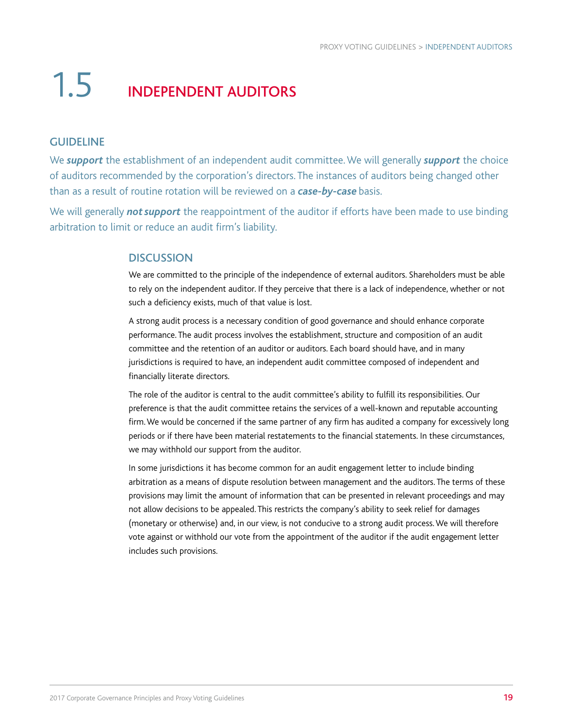## 1.5 INDEPENDENT AUDITORS

#### GUIDELINE

We *support* the establishment of an independent audit committee. We will generally *support* the choice of auditors recommended by the corporation's directors. The instances of auditors being changed other than as a result of routine rotation will be reviewed on a *case-by-case* basis.

We will generally *not support* the reappointment of the auditor if efforts have been made to use binding arbitration to limit or reduce an audit firm's liability.

#### **DISCUSSION**

We are committed to the principle of the independence of external auditors. Shareholders must be able to rely on the independent auditor. If they perceive that there is a lack of independence, whether or not such a deficiency exists, much of that value is lost.

A strong audit process is a necessary condition of good governance and should enhance corporate performance. The audit process involves the establishment, structure and composition of an audit committee and the retention of an auditor or auditors. Each board should have, and in many jurisdictions is required to have, an independent audit committee composed of independent and financially literate directors.

The role of the auditor is central to the audit committee's ability to fulfill its responsibilities. Our preference is that the audit committee retains the services of a well-known and reputable accounting firm. We would be concerned if the same partner of any firm has audited a company for excessively long periods or if there have been material restatements to the financial statements. In these circumstances, we may withhold our support from the auditor.

In some jurisdictions it has become common for an audit engagement letter to include binding arbitration as a means of dispute resolution between management and the auditors. The terms of these provisions may limit the amount of information that can be presented in relevant proceedings and may not allow decisions to be appealed. This restricts the company's ability to seek relief for damages (monetary or otherwise) and, in our view, is not conducive to a strong audit process. We will therefore vote against or withhold our vote from the appointment of the auditor if the audit engagement letter includes such provisions.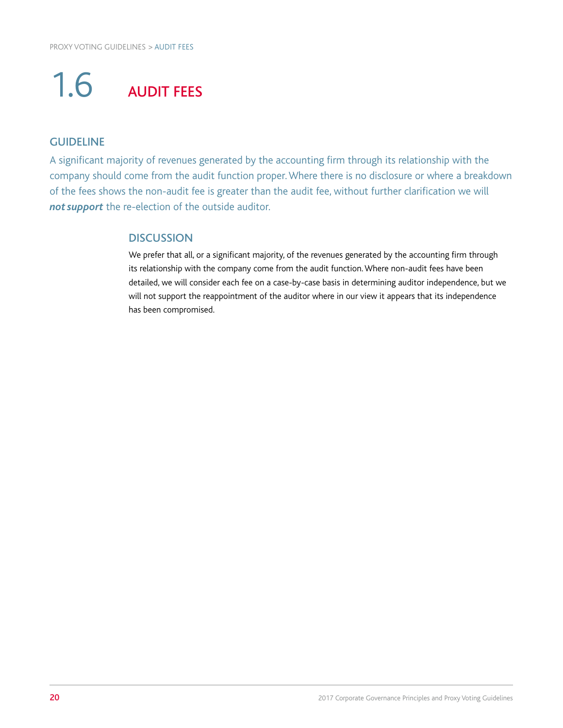## 1.6 AUDIT FEES

#### GUIDELINE

A significant majority of revenues generated by the accounting firm through its relationship with the company should come from the audit function proper. Where there is no disclosure or where a breakdown of the fees shows the non-audit fee is greater than the audit fee, without further clarification we will **not support** the re-election of the outside auditor.

#### **DISCUSSION**

We prefer that all, or a significant majority, of the revenues generated by the accounting firm through its relationship with the company come from the audit function. Where non-audit fees have been detailed, we will consider each fee on a case-by-case basis in determining auditor independence, but we will not support the reappointment of the auditor where in our view it appears that its independence has been compromised.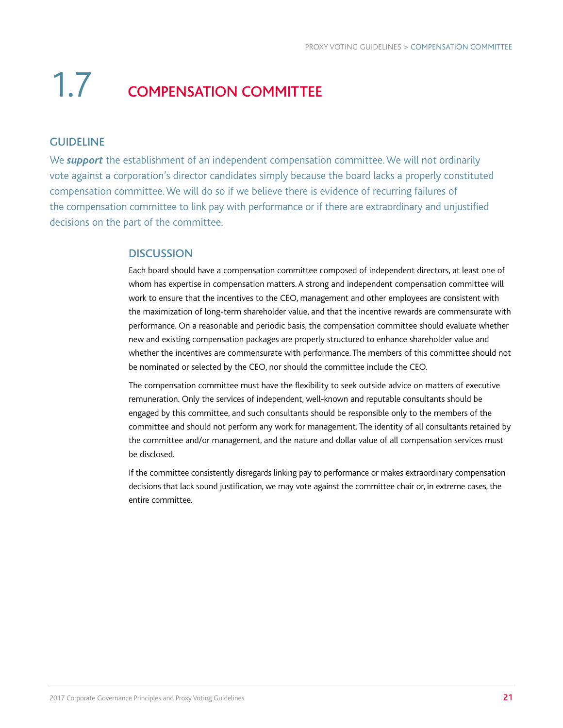## 1.7 COMPENSATION COMMITTEE

#### GUIDELINE

We *support* the establishment of an independent compensation committee. We will not ordinarily vote against a corporation's director candidates simply because the board lacks a properly constituted compensation committee. We will do so if we believe there is evidence of recurring failures of the compensation committee to link pay with performance or if there are extraordinary and unjustified decisions on the part of the committee.

#### **DISCUSSION**

Each board should have a compensation committee composed of independent directors, at least one of whom has expertise in compensation matters. A strong and independent compensation committee will work to ensure that the incentives to the CEO, management and other employees are consistent with the maximization of long-term shareholder value, and that the incentive rewards are commensurate with performance. On a reasonable and periodic basis, the compensation committee should evaluate whether new and existing compensation packages are properly structured to enhance shareholder value and whether the incentives are commensurate with performance. The members of this committee should not be nominated or selected by the CEO, nor should the committee include the CEO.

The compensation committee must have the flexibility to seek outside advice on matters of executive remuneration. Only the services of independent, well-known and reputable consultants should be engaged by this committee, and such consultants should be responsible only to the members of the committee and should not perform any work for management. The identity of all consultants retained by the committee and/or management, and the nature and dollar value of all compensation services must be disclosed.

If the committee consistently disregards linking pay to performance or makes extraordinary compensation decisions that lack sound justification, we may vote against the committee chair or, in extreme cases, the entire committee.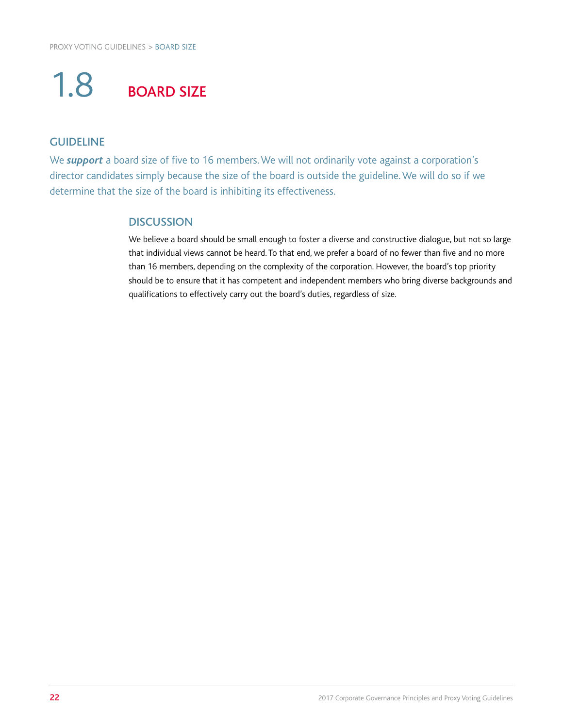## 1.8 BOARD SIZE

#### GUIDELINE

We **support** a board size of five to 16 members. We will not ordinarily vote against a corporation's director candidates simply because the size of the board is outside the guideline. We will do so if we determine that the size of the board is inhibiting its effectiveness.

#### **DISCUSSION**

We believe a board should be small enough to foster a diverse and constructive dialogue, but not so large that individual views cannot be heard. To that end, we prefer a board of no fewer than five and no more than 16 members, depending on the complexity of the corporation. However, the board's top priority should be to ensure that it has competent and independent members who bring diverse backgrounds and qualifications to effectively carry out the board's duties, regardless of size.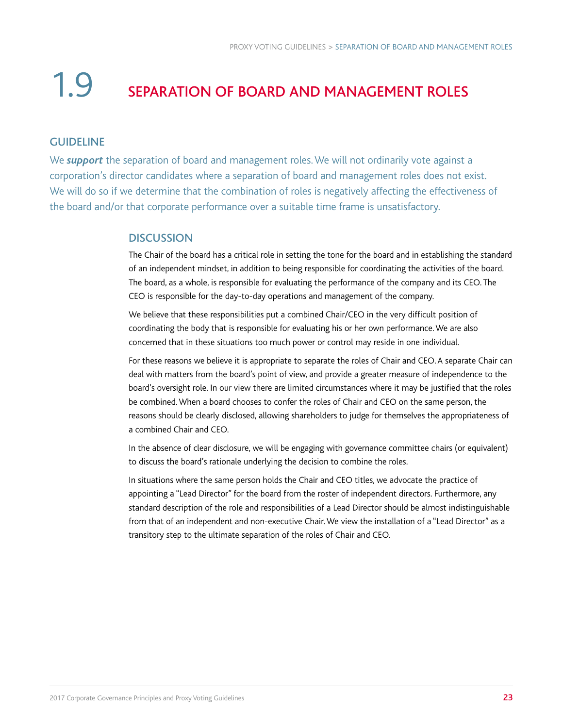## 1.9 SEPARATION OF BOARD AND MANAGEMENT ROLES

#### GUIDELINE

We *support* the separation of board and management roles. We will not ordinarily vote against a corporation's director candidates where a separation of board and management roles does not exist. We will do so if we determine that the combination of roles is negatively affecting the effectiveness of the board and/or that corporate performance over a suitable time frame is unsatisfactory.

#### **DISCUSSION**

The Chair of the board has a critical role in setting the tone for the board and in establishing the standard of an independent mindset, in addition to being responsible for coordinating the activities of the board. The board, as a whole, is responsible for evaluating the performance of the company and its CEO. The CEO is responsible for the day-to-day operations and management of the company.

We believe that these responsibilities put a combined Chair/CEO in the very difficult position of coordinating the body that is responsible for evaluating his or her own performance. We are also concerned that in these situations too much power or control may reside in one individual.

For these reasons we believe it is appropriate to separate the roles of Chair and CEO. A separate Chair can deal with matters from the board's point of view, and provide a greater measure of independence to the board's oversight role. In our view there are limited circumstances where it may be justified that the roles be combined. When a board chooses to confer the roles of Chair and CEO on the same person, the reasons should be clearly disclosed, allowing shareholders to judge for themselves the appropriateness of a combined Chair and CEO.

In the absence of clear disclosure, we will be engaging with governance committee chairs (or equivalent) to discuss the board's rationale underlying the decision to combine the roles.

In situations where the same person holds the Chair and CEO titles, we advocate the practice of appointing a "Lead Director" for the board from the roster of independent directors. Furthermore, any standard description of the role and responsibilities of a Lead Director should be almost indistinguishable from that of an independent and non-executive Chair. We view the installation of a "Lead Director" as a transitory step to the ultimate separation of the roles of Chair and CEO.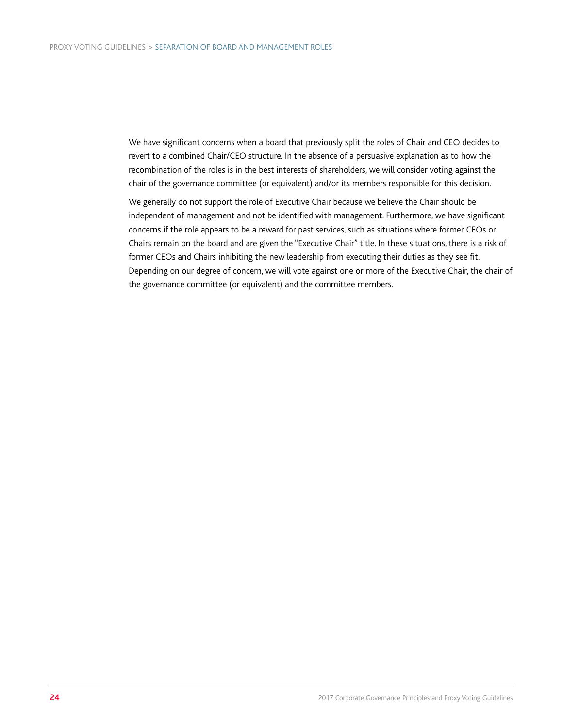We have significant concerns when a board that previously split the roles of Chair and CEO decides to revert to a combined Chair/CEO structure. In the absence of a persuasive explanation as to how the recombination of the roles is in the best interests of shareholders, we will consider voting against the chair of the governance committee (or equivalent) and/or its members responsible for this decision.

We generally do not support the role of Executive Chair because we believe the Chair should be independent of management and not be identified with management. Furthermore, we have significant concerns if the role appears to be a reward for past services, such as situations where former CEOs or Chairs remain on the board and are given the "Executive Chair" title. In these situations, there is a risk of former CEOs and Chairs inhibiting the new leadership from executing their duties as they see fit. Depending on our degree of concern, we will vote against one or more of the Executive Chair, the chair of the governance committee (or equivalent) and the committee members.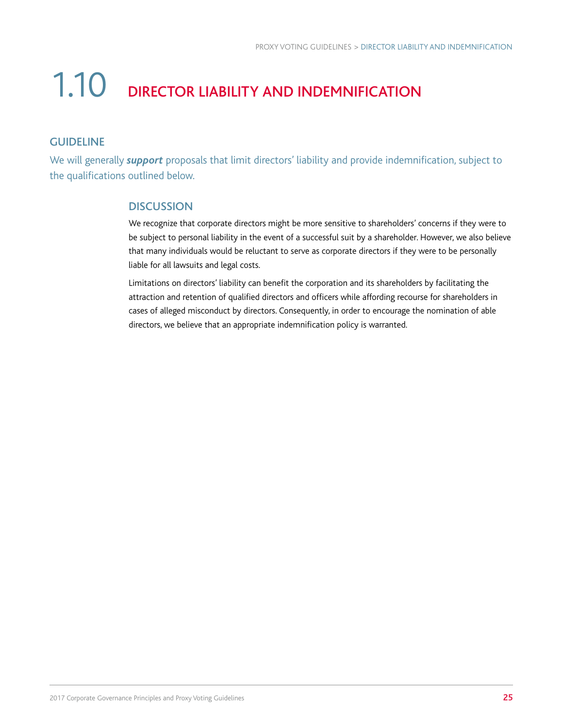## 1.10 DIRECTOR LIABILITY AND INDEMNIFICATION

#### GUIDELINE

We will generally *support* proposals that limit directors' liability and provide indemnification, subject to the qualifications outlined below.

#### **DISCUSSION**

We recognize that corporate directors might be more sensitive to shareholders' concerns if they were to be subject to personal liability in the event of a successful suit by a shareholder. However, we also believe that many individuals would be reluctant to serve as corporate directors if they were to be personally liable for all lawsuits and legal costs.

Limitations on directors' liability can benefit the corporation and its shareholders by facilitating the attraction and retention of qualified directors and officers while affording recourse for shareholders in cases of alleged misconduct by directors. Consequently, in order to encourage the nomination of able directors, we believe that an appropriate indemnification policy is warranted.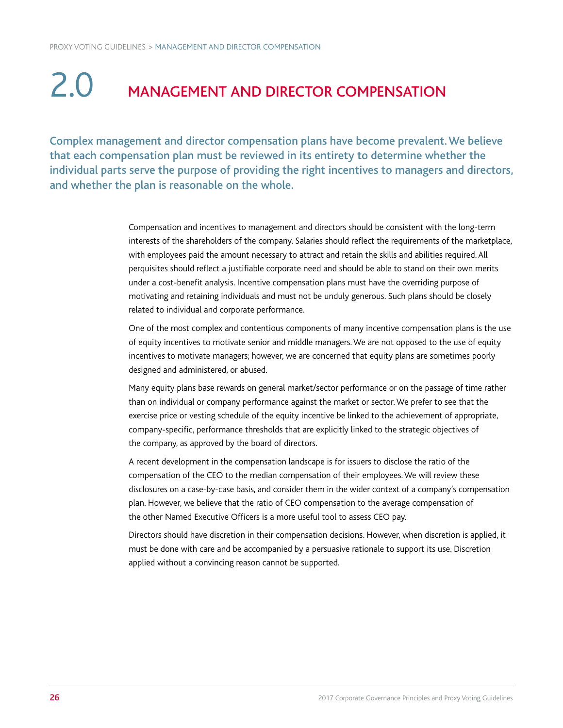### 2.0 MANAGEMENT AND DIRECTOR COMPENSATION

Complex management and director compensation plans have become prevalent. We believe that each compensation plan must be reviewed in its entirety to determine whether the individual parts serve the purpose of providing the right incentives to managers and directors, and whether the plan is reasonable on the whole.

> Compensation and incentives to management and directors should be consistent with the long-term interests of the shareholders of the company. Salaries should reflect the requirements of the marketplace, with employees paid the amount necessary to attract and retain the skills and abilities required. All perquisites should reflect a justifiable corporate need and should be able to stand on their own merits under a cost-benefit analysis. Incentive compensation plans must have the overriding purpose of motivating and retaining individuals and must not be unduly generous. Such plans should be closely related to individual and corporate performance.

> One of the most complex and contentious components of many incentive compensation plans is the use of equity incentives to motivate senior and middle managers. We are not opposed to the use of equity incentives to motivate managers; however, we are concerned that equity plans are sometimes poorly designed and administered, or abused.

Many equity plans base rewards on general market/sector performance or on the passage of time rather than on individual or company performance against the market or sector. We prefer to see that the exercise price or vesting schedule of the equity incentive be linked to the achievement of appropriate, company-specific, performance thresholds that are explicitly linked to the strategic objectives of the company, as approved by the board of directors.

A recent development in the compensation landscape is for issuers to disclose the ratio of the compensation of the CEO to the median compensation of their employees. We will review these disclosures on a case-by-case basis, and consider them in the wider context of a company's compensation plan. However, we believe that the ratio of CEO compensation to the average compensation of the other Named Executive Officers is a more useful tool to assess CEO pay.

Directors should have discretion in their compensation decisions. However, when discretion is applied, it must be done with care and be accompanied by a persuasive rationale to support its use. Discretion applied without a convincing reason cannot be supported.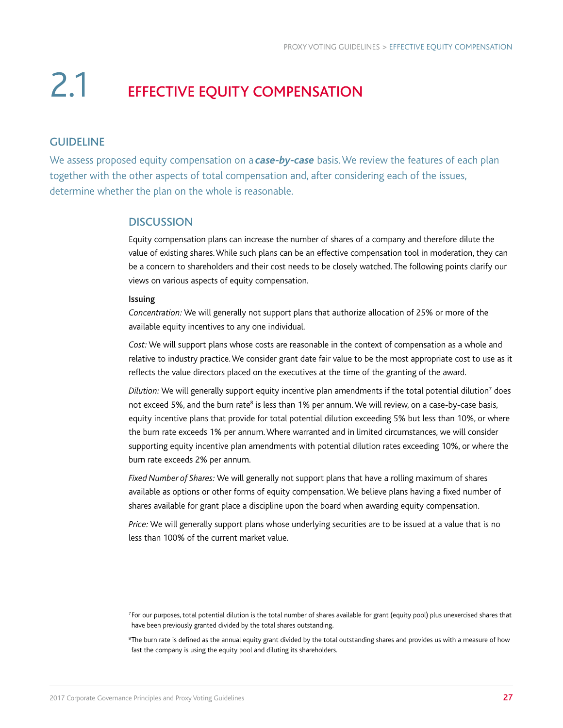### 2.1 EFFECTIVE EQUITY COMPENSATION

#### GUIDELINE

We assess proposed equity compensation on a *case-by-case* basis. We review the features of each plan together with the other aspects of total compensation and, after considering each of the issues, determine whether the plan on the whole is reasonable.

#### **DISCUSSION**

Equity compensation plans can increase the number of shares of a company and therefore dilute the value of existing shares. While such plans can be an effective compensation tool in moderation, they can be a concern to shareholders and their cost needs to be closely watched. The following points clarify our views on various aspects of equity compensation.

#### Issuing

*Concentration:* We will generally not support plans that authorize allocation of 25% or more of the available equity incentives to any one individual.

*Cost:* We will support plans whose costs are reasonable in the context of compensation as a whole and relative to industry practice. We consider grant date fair value to be the most appropriate cost to use as it reflects the value directors placed on the executives at the time of the granting of the award.

Dilution: We will generally support equity incentive plan amendments if the total potential dilution<sup>7</sup> does not exceed 5%, and the burn rate<sup>8</sup> is less than 1% per annum. We will review, on a case-by-case basis, equity incentive plans that provide for total potential dilution exceeding 5% but less than 10%, or where the burn rate exceeds 1% per annum. Where warranted and in limited circumstances, we will consider supporting equity incentive plan amendments with potential dilution rates exceeding 10%, or where the burn rate exceeds 2% per annum.

*Fixed Number of Shares:* We will generally not support plans that have a rolling maximum of shares available as options or other forms of equity compensation. We believe plans having a fixed number of shares available for grant place a discipline upon the board when awarding equity compensation.

*Price:* We will generally support plans whose underlying securities are to be issued at a value that is no less than 100% of the current market value.

 $^{\rm 8}$ The burn rate is defined as the annual equity grant divided by the total outstanding shares and provides us with a measure of how fast the company is using the equity pool and diluting its shareholders.

<sup>7</sup>For our purposes, total potential dilution is the total number of shares available for grant (equity pool) plus unexercised shares that have been previously granted divided by the total shares outstanding.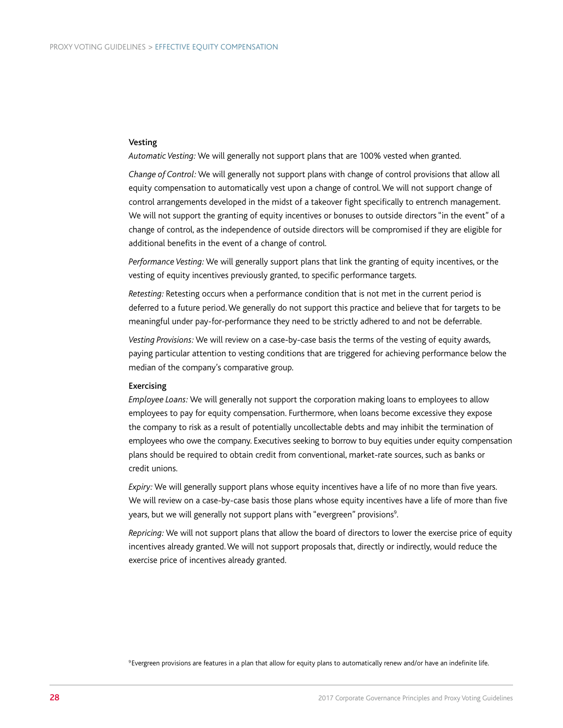#### Vesting

*Automatic Vesting:* We will generally not support plans that are 100% vested when granted.

*Change of Control:* We will generally not support plans with change of control provisions that allow all equity compensation to automatically vest upon a change of control. We will not support change of control arrangements developed in the midst of a takeover fight specifically to entrench management. We will not support the granting of equity incentives or bonuses to outside directors "in the event" of a change of control, as the independence of outside directors will be compromised if they are eligible for additional benefits in the event of a change of control.

*Performance Vesting:* We will generally support plans that link the granting of equity incentives, or the vesting of equity incentives previously granted, to specific performance targets.

*Retesting:* Retesting occurs when a performance condition that is not met in the current period is deferred to a future period. We generally do not support this practice and believe that for targets to be meaningful under pay-for-performance they need to be strictly adhered to and not be deferrable.

*Vesting Provisions:* We will review on a case-by-case basis the terms of the vesting of equity awards, paying particular attention to vesting conditions that are triggered for achieving performance below the median of the company's comparative group.

#### Exercising

*Employee Loans:* We will generally not support the corporation making loans to employees to allow employees to pay for equity compensation. Furthermore, when loans become excessive they expose the company to risk as a result of potentially uncollectable debts and may inhibit the termination of employees who owe the company. Executives seeking to borrow to buy equities under equity compensation plans should be required to obtain credit from conventional, market-rate sources, such as banks or credit unions.

*Expiry:* We will generally support plans whose equity incentives have a life of no more than five years. We will review on a case-by-case basis those plans whose equity incentives have a life of more than five years, but we will generally not support plans with "evergreen" provisions<sup>9</sup>. .

*Repricing:* We will not support plans that allow the board of directors to lower the exercise price of equity incentives already granted. We will not support proposals that, directly or indirectly, would reduce the exercise price of incentives already granted.

9Evergreen provisions are features in a plan that allow for equity plans to automatically renew and/or have an indefinite life.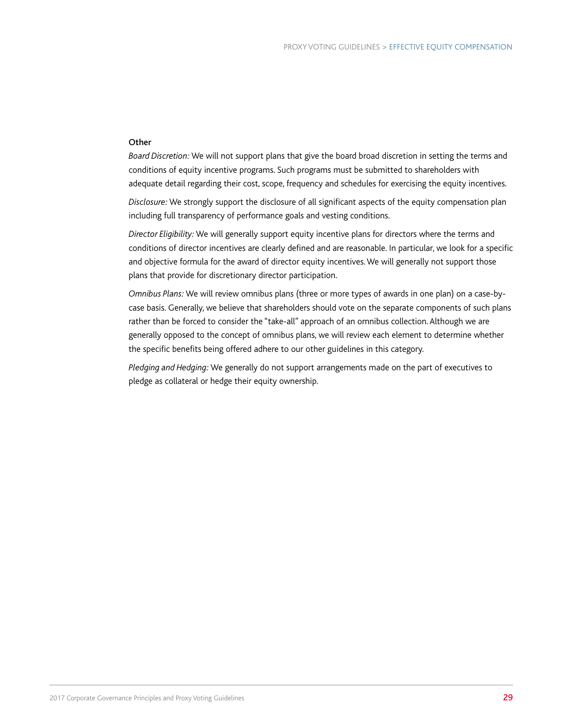#### **Other**

*Board Discretion:* We will not support plans that give the board broad discretion in setting the terms and conditions of equity incentive programs. Such programs must be submitted to shareholders with adequate detail regarding their cost, scope, frequency and schedules for exercising the equity incentives.

*Disclosure:* We strongly support the disclosure of all significant aspects of the equity compensation plan including full transparency of performance goals and vesting conditions.

*Director Eligibility:* We will generally support equity incentive plans for directors where the terms and conditions of director incentives are clearly defined and are reasonable. In particular, we look for a specific and objective formula for the award of director equity incentives. We will generally not support those plans that provide for discretionary director participation.

*Omnibus Plans:* We will review omnibus plans (three or more types of awards in one plan) on a case-bycase basis. Generally, we believe that shareholders should vote on the separate components of such plans rather than be forced to consider the "take-all" approach of an omnibus collection. Although we are generally opposed to the concept of omnibus plans, we will review each element to determine whether the specific benefits being offered adhere to our other guidelines in this category.

*Pledging and Hedging:* We generally do not support arrangements made on the part of executives to pledge as collateral or hedge their equity ownership.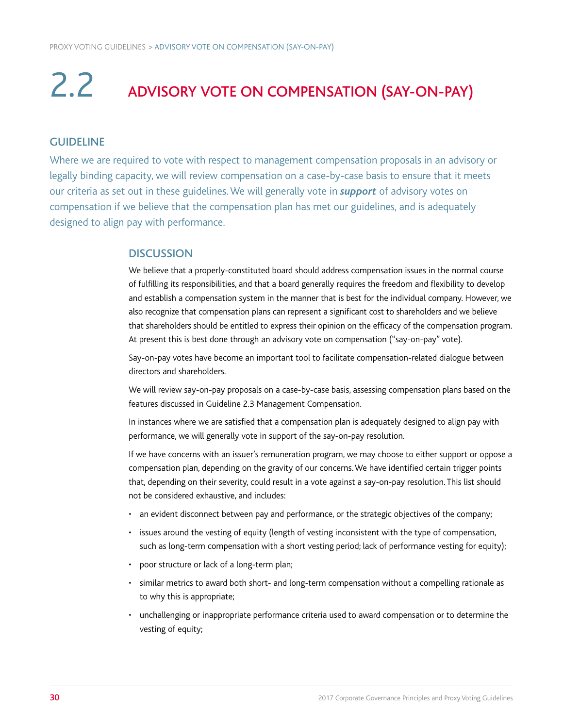## 2.2 ADVISORY VOTE ON COMPENSATION (SAY-ON-PAY)

#### GUIDELINE

Where we are required to vote with respect to management compensation proposals in an advisory or legally binding capacity, we will review compensation on a case-by-case basis to ensure that it meets our criteria as set out in these guidelines. We will generally vote in *support* of advisory votes on compensation if we believe that the compensation plan has met our guidelines, and is adequately designed to align pay with performance.

#### **DISCUSSION**

We believe that a properly-constituted board should address compensation issues in the normal course of fulfilling its responsibilities, and that a board generally requires the freedom and flexibility to develop and establish a compensation system in the manner that is best for the individual company. However, we also recognize that compensation plans can represent a significant cost to shareholders and we believe that shareholders should be entitled to express their opinion on the efficacy of the compensation program. At present this is best done through an advisory vote on compensation ("say-on-pay" vote).

Say-on-pay votes have become an important tool to facilitate compensation-related dialogue between directors and shareholders.

We will review say-on-pay proposals on a case-by-case basis, assessing compensation plans based on the features discussed in Guideline 2.3 Management Compensation.

In instances where we are satisfied that a compensation plan is adequately designed to align pay with performance, we will generally vote in support of the say-on-pay resolution.

If we have concerns with an issuer's remuneration program, we may choose to either support or oppose a compensation plan, depending on the gravity of our concerns. We have identified certain trigger points that, depending on their severity, could result in a vote against a say-on-pay resolution. This list should not be considered exhaustive, and includes:

- an evident disconnect between pay and performance, or the strategic objectives of the company;
- issues around the vesting of equity (length of vesting inconsistent with the type of compensation, such as long-term compensation with a short vesting period; lack of performance vesting for equity);
- poor structure or lack of a long-term plan;
- similar metrics to award both short- and long-term compensation without a compelling rationale as to why this is appropriate;
- unchallenging or inappropriate performance criteria used to award compensation or to determine the vesting of equity;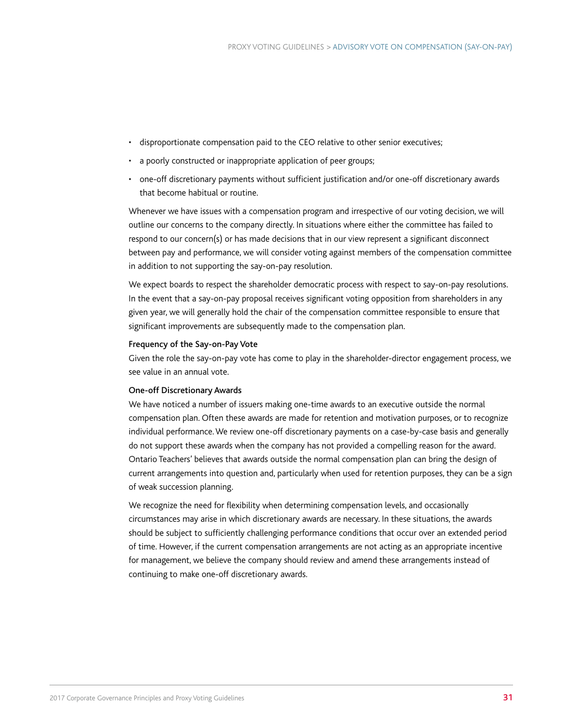- disproportionate compensation paid to the CEO relative to other senior executives;
- a poorly constructed or inappropriate application of peer groups;
- one-off discretionary payments without sufficient justification and/or one-off discretionary awards that become habitual or routine.

Whenever we have issues with a compensation program and irrespective of our voting decision, we will outline our concerns to the company directly. In situations where either the committee has failed to respond to our concern(s) or has made decisions that in our view represent a significant disconnect between pay and performance, we will consider voting against members of the compensation committee in addition to not supporting the say-on-pay resolution.

We expect boards to respect the shareholder democratic process with respect to say-on-pay resolutions. In the event that a say-on-pay proposal receives significant voting opposition from shareholders in any given year, we will generally hold the chair of the compensation committee responsible to ensure that significant improvements are subsequently made to the compensation plan.

#### Frequency of the Say-on-Pay Vote

Given the role the say-on-pay vote has come to play in the shareholder-director engagement process, we see value in an annual vote.

#### One-off Discretionary Awards

We have noticed a number of issuers making one-time awards to an executive outside the normal compensation plan. Often these awards are made for retention and motivation purposes, or to recognize individual performance. We review one-off discretionary payments on a case-by-case basis and generally do not support these awards when the company has not provided a compelling reason for the award. Ontario Teachers' believes that awards outside the normal compensation plan can bring the design of current arrangements into question and, particularly when used for retention purposes, they can be a sign of weak succession planning.

We recognize the need for flexibility when determining compensation levels, and occasionally circumstances may arise in which discretionary awards are necessary. In these situations, the awards should be subject to sufficiently challenging performance conditions that occur over an extended period of time. However, if the current compensation arrangements are not acting as an appropriate incentive for management, we believe the company should review and amend these arrangements instead of continuing to make one-off discretionary awards.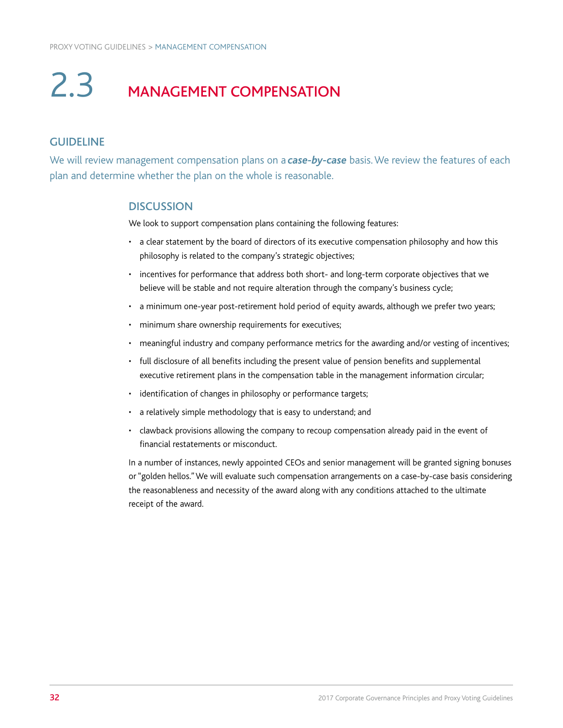### 2.3 MANAGEMENT COMPENSATION

#### GUIDELINE

We will review management compensation plans on a *case-by-case* basis. We review the features of each plan and determine whether the plan on the whole is reasonable.

#### **DISCUSSION**

We look to support compensation plans containing the following features:

- a clear statement by the board of directors of its executive compensation philosophy and how this philosophy is related to the company's strategic objectives;
- incentives for performance that address both short- and long-term corporate objectives that we believe will be stable and not require alteration through the company's business cycle;
- a minimum one-year post-retirement hold period of equity awards, although we prefer two years;
- minimum share ownership requirements for executives;
- meaningful industry and company performance metrics for the awarding and/or vesting of incentives;
- full disclosure of all benefits including the present value of pension benefits and supplemental executive retirement plans in the compensation table in the management information circular;
- identification of changes in philosophy or performance targets;
- a relatively simple methodology that is easy to understand; and
- clawback provisions allowing the company to recoup compensation already paid in the event of financial restatements or misconduct.

In a number of instances, newly appointed CEOs and senior management will be granted signing bonuses or "golden hellos." We will evaluate such compensation arrangements on a case-by-case basis considering the reasonableness and necessity of the award along with any conditions attached to the ultimate receipt of the award.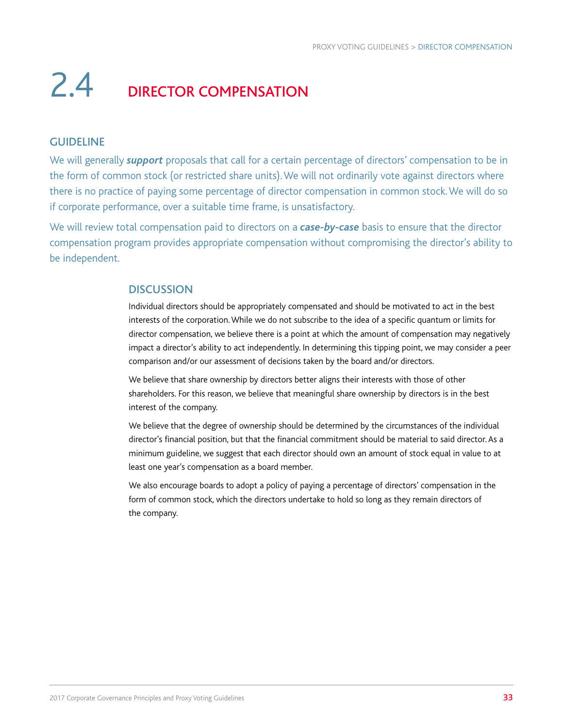### 2.4 DIRECTOR COMPENSATION

#### GUIDELINE

We will generally *support* proposals that call for a certain percentage of directors' compensation to be in the form of common stock (or restricted share units). We will not ordinarily vote against directors where there is no practice of paying some percentage of director compensation in common stock. We will do so if corporate performance, over a suitable time frame, is unsatisfactory.

We will review total compensation paid to directors on a *case-by-case* basis to ensure that the director compensation program provides appropriate compensation without compromising the director's ability to be independent.

#### **DISCUSSION**

Individual directors should be appropriately compensated and should be motivated to act in the best interests of the corporation. While we do not subscribe to the idea of a specific quantum or limits for director compensation, we believe there is a point at which the amount of compensation may negatively impact a director's ability to act independently. In determining this tipping point, we may consider a peer comparison and/or our assessment of decisions taken by the board and/or directors.

We believe that share ownership by directors better aligns their interests with those of other shareholders. For this reason, we believe that meaningful share ownership by directors is in the best interest of the company.

We believe that the degree of ownership should be determined by the circumstances of the individual director's financial position, but that the financial commitment should be material to said director. As a minimum guideline, we suggest that each director should own an amount of stock equal in value to at least one year's compensation as a board member.

We also encourage boards to adopt a policy of paying a percentage of directors' compensation in the form of common stock, which the directors undertake to hold so long as they remain directors of the company.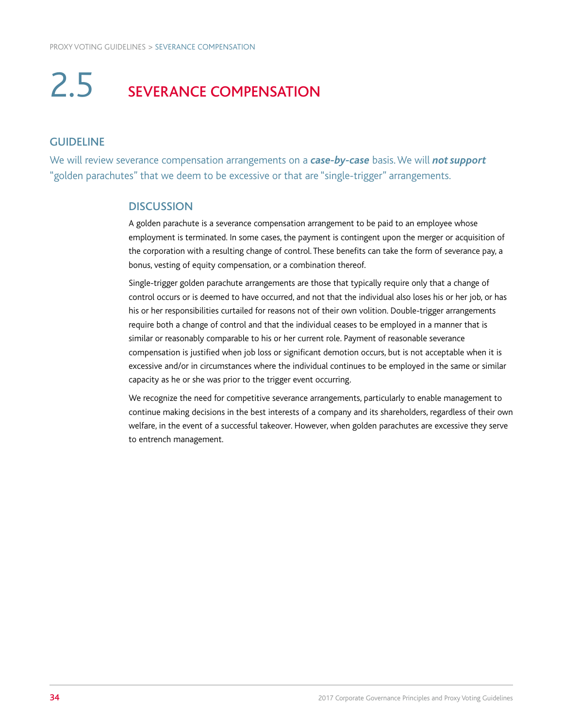### 2.5 SEVERANCE COMPENSATION

#### GUIDELINE

We will review severance compensation arrangements on a *case-by-case* basis. We will *not support*  "golden parachutes" that we deem to be excessive or that are "single-trigger" arrangements.

#### **DISCUSSION**

A golden parachute is a severance compensation arrangement to be paid to an employee whose employment is terminated. In some cases, the payment is contingent upon the merger or acquisition of the corporation with a resulting change of control. These benefits can take the form of severance pay, a bonus, vesting of equity compensation, or a combination thereof.

Single-trigger golden parachute arrangements are those that typically require only that a change of control occurs or is deemed to have occurred, and not that the individual also loses his or her job, or has his or her responsibilities curtailed for reasons not of their own volition. Double-trigger arrangements require both a change of control and that the individual ceases to be employed in a manner that is similar or reasonably comparable to his or her current role. Payment of reasonable severance compensation is justified when job loss or significant demotion occurs, but is not acceptable when it is excessive and/or in circumstances where the individual continues to be employed in the same or similar capacity as he or she was prior to the trigger event occurring.

We recognize the need for competitive severance arrangements, particularly to enable management to continue making decisions in the best interests of a company and its shareholders, regardless of their own welfare, in the event of a successful takeover. However, when golden parachutes are excessive they serve to entrench management.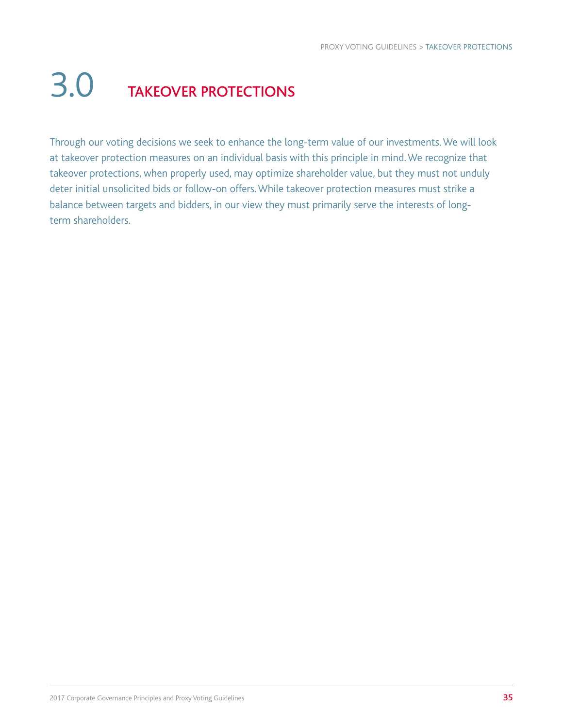## 3.0 TAKEOVER PROTECTIONS

Through our voting decisions we seek to enhance the long-term value of our investments. We will look at takeover protection measures on an individual basis with this principle in mind. We recognize that takeover protections, when properly used, may optimize shareholder value, but they must not unduly deter initial unsolicited bids or follow-on offers. While takeover protection measures must strike a balance between targets and bidders, in our view they must primarily serve the interests of longterm shareholders.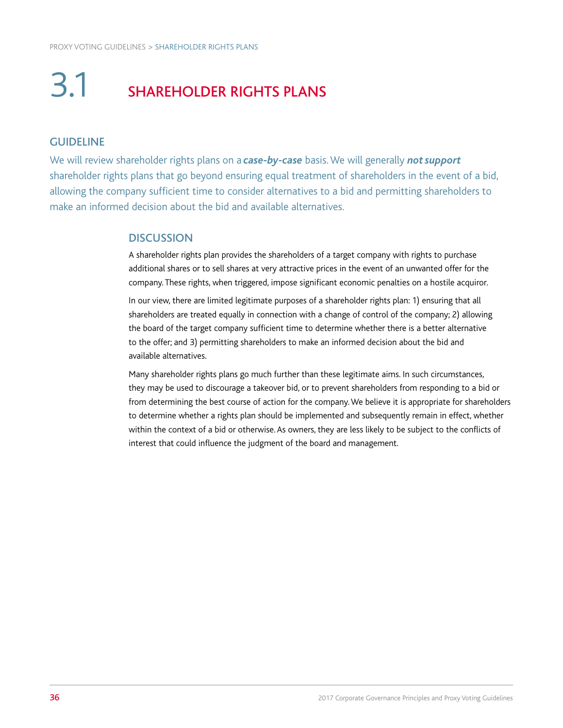## 3.1 SHAREHOLDER RIGHTS PLANS

#### GUIDELINE

We will review shareholder rights plans on a *case-by-case* basis. We will generally *not support* shareholder rights plans that go beyond ensuring equal treatment of shareholders in the event of a bid, allowing the company sufficient time to consider alternatives to a bid and permitting shareholders to make an informed decision about the bid and available alternatives.

#### **DISCUSSION**

A shareholder rights plan provides the shareholders of a target company with rights to purchase additional shares or to sell shares at very attractive prices in the event of an unwanted offer for the company. These rights, when triggered, impose significant economic penalties on a hostile acquiror.

In our view, there are limited legitimate purposes of a shareholder rights plan: 1) ensuring that all shareholders are treated equally in connection with a change of control of the company; 2) allowing the board of the target company sufficient time to determine whether there is a better alternative to the offer; and 3) permitting shareholders to make an informed decision about the bid and available alternatives.

Many shareholder rights plans go much further than these legitimate aims. In such circumstances, they may be used to discourage a takeover bid, or to prevent shareholders from responding to a bid or from determining the best course of action for the company. We believe it is appropriate for shareholders to determine whether a rights plan should be implemented and subsequently remain in effect, whether within the context of a bid or otherwise. As owners, they are less likely to be subject to the conflicts of interest that could influence the judgment of the board and management.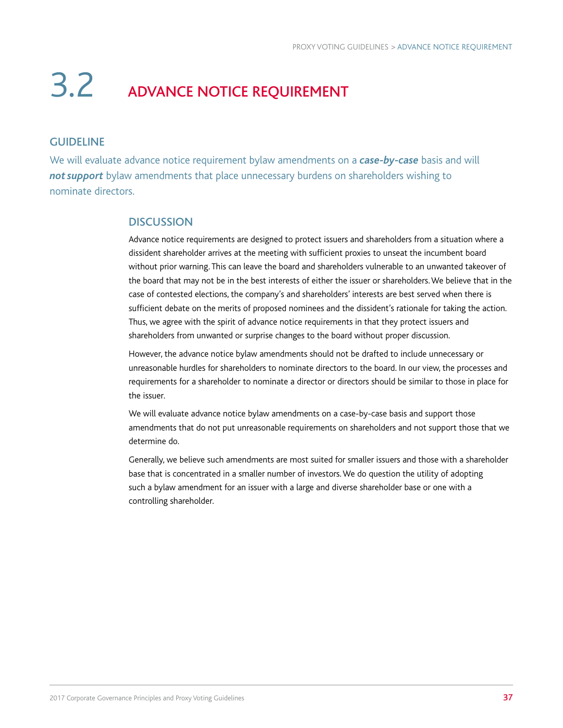### 3.2 ADVANCE NOTICE REQUIREMENT

#### GUIDELINE

We will evaluate advance notice requirement bylaw amendments on a *case-by-case* basis and will not support bylaw amendments that place unnecessary burdens on shareholders wishing to nominate directors.

#### **DISCUSSION**

Advance notice requirements are designed to protect issuers and shareholders from a situation where a dissident shareholder arrives at the meeting with sufficient proxies to unseat the incumbent board without prior warning. This can leave the board and shareholders vulnerable to an unwanted takeover of the board that may not be in the best interests of either the issuer or shareholders. We believe that in the case of contested elections, the company's and shareholders' interests are best served when there is sufficient debate on the merits of proposed nominees and the dissident's rationale for taking the action. Thus, we agree with the spirit of advance notice requirements in that they protect issuers and shareholders from unwanted or surprise changes to the board without proper discussion.

However, the advance notice bylaw amendments should not be drafted to include unnecessary or unreasonable hurdles for shareholders to nominate directors to the board. In our view, the processes and requirements for a shareholder to nominate a director or directors should be similar to those in place for the issuer.

We will evaluate advance notice bylaw amendments on a case-by-case basis and support those amendments that do not put unreasonable requirements on shareholders and not support those that we determine do.

Generally, we believe such amendments are most suited for smaller issuers and those with a shareholder base that is concentrated in a smaller number of investors. We do question the utility of adopting such a bylaw amendment for an issuer with a large and diverse shareholder base or one with a controlling shareholder.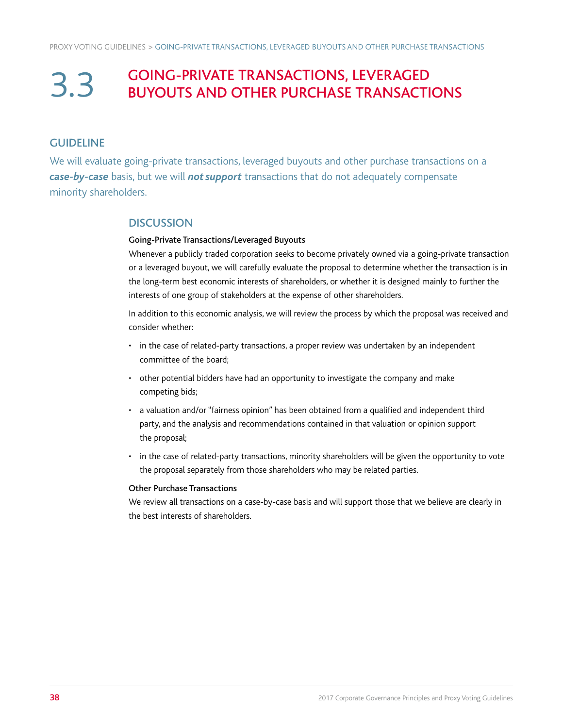### 3.3 GOING-PRIVATE TRANSACTIONS, LEVERAGED BUYOUTS AND OTHER PURCHASE TRANSACTIONS

#### **GUIDELINE**

We will evaluate going-private transactions, leveraged buyouts and other purchase transactions on a case-by-case basis, but we will *not support* transactions that do not adequately compensate minority shareholders.

#### **DISCUSSION**

#### Going-Private Transactions/Leveraged Buyouts

Whenever a publicly traded corporation seeks to become privately owned via a going-private transaction or a leveraged buyout, we will carefully evaluate the proposal to determine whether the transaction is in the long-term best economic interests of shareholders, or whether it is designed mainly to further the interests of one group of stakeholders at the expense of other shareholders.

In addition to this economic analysis, we will review the process by which the proposal was received and consider whether:

- in the case of related-party transactions, a proper review was undertaken by an independent committee of the board;
- other potential bidders have had an opportunity to investigate the company and make competing bids;
- a valuation and/or "fairness opinion" has been obtained from a qualified and independent third party, and the analysis and recommendations contained in that valuation or opinion support the proposal;
- in the case of related-party transactions, minority shareholders will be given the opportunity to vote the proposal separately from those shareholders who may be related parties.

#### Other Purchase Transactions

We review all transactions on a case-by-case basis and will support those that we believe are clearly in the best interests of shareholders.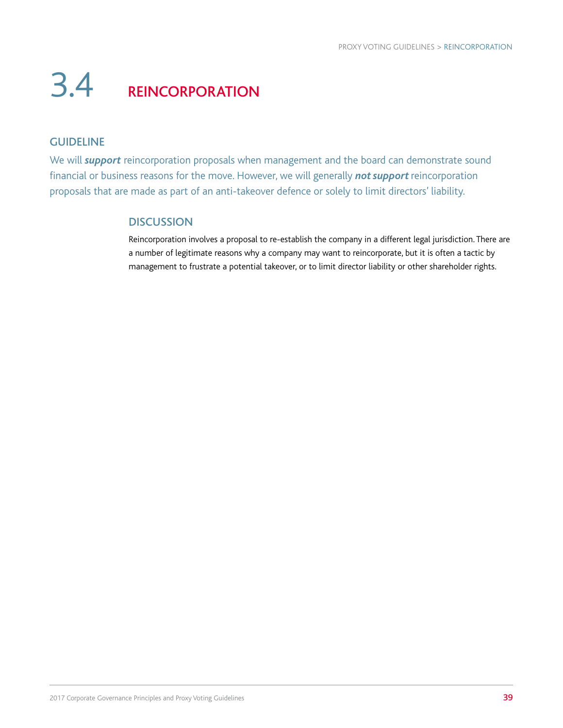## 3.4 REINCORPORATION

#### GUIDELINE

We will *support* reincorporation proposals when management and the board can demonstrate sound financial or business reasons for the move. However, we will generally *not support* reincorporation proposals that are made as part of an anti-takeover defence or solely to limit directors' liability.

#### **DISCUSSION**

Reincorporation involves a proposal to re-establish the company in a different legal jurisdiction. There are a number of legitimate reasons why a company may want to reincorporate, but it is often a tactic by management to frustrate a potential takeover, or to limit director liability or other shareholder rights.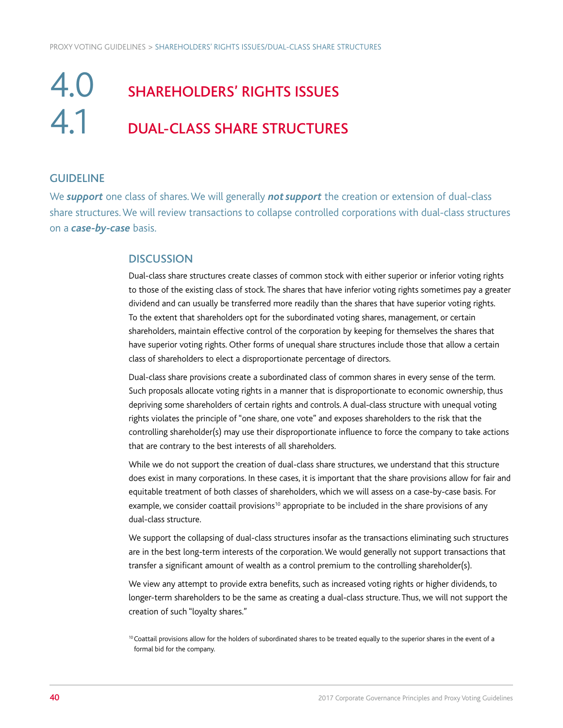### **4.0** SHAREHOLDERS' RIGHTS ISSUES 4.1 DUAL-CLASS SHARE STRUCTURES

#### **GUIDELINE**

We *support* one class of shares. We will generally *not support* the creation or extension of dual-class share structures. We will review transactions to collapse controlled corporations with dual-class structures on a *case-by-case* basis.

#### **DISCUSSION**

Dual-class share structures create classes of common stock with either superior or inferior voting rights to those of the existing class of stock. The shares that have inferior voting rights sometimes pay a greater dividend and can usually be transferred more readily than the shares that have superior voting rights. To the extent that shareholders opt for the subordinated voting shares, management, or certain shareholders, maintain effective control of the corporation by keeping for themselves the shares that have superior voting rights. Other forms of unequal share structures include those that allow a certain class of shareholders to elect a disproportionate percentage of directors.

Dual-class share provisions create a subordinated class of common shares in every sense of the term. Such proposals allocate voting rights in a manner that is disproportionate to economic ownership, thus depriving some shareholders of certain rights and controls. A dual-class structure with unequal voting rights violates the principle of "one share, one vote" and exposes shareholders to the risk that the controlling shareholder(s) may use their disproportionate influence to force the company to take actions that are contrary to the best interests of all shareholders.

While we do not support the creation of dual-class share structures, we understand that this structure does exist in many corporations. In these cases, it is important that the share provisions allow for fair and equitable treatment of both classes of shareholders, which we will assess on a case-by-case basis. For example, we consider coattail provisions<sup>10</sup> appropriate to be included in the share provisions of any dual-class structure.

We support the collapsing of dual-class structures insofar as the transactions eliminating such structures are in the best long-term interests of the corporation. We would generally not support transactions that transfer a significant amount of wealth as a control premium to the controlling shareholder(s).

We view any attempt to provide extra benefits, such as increased voting rights or higher dividends, to longer-term shareholders to be the same as creating a dual-class structure. Thus, we will not support the creation of such "loyalty shares."

<sup>&</sup>lt;sup>10</sup> Coattail provisions allow for the holders of subordinated shares to be treated equally to the superior shares in the event of a formal bid for the company.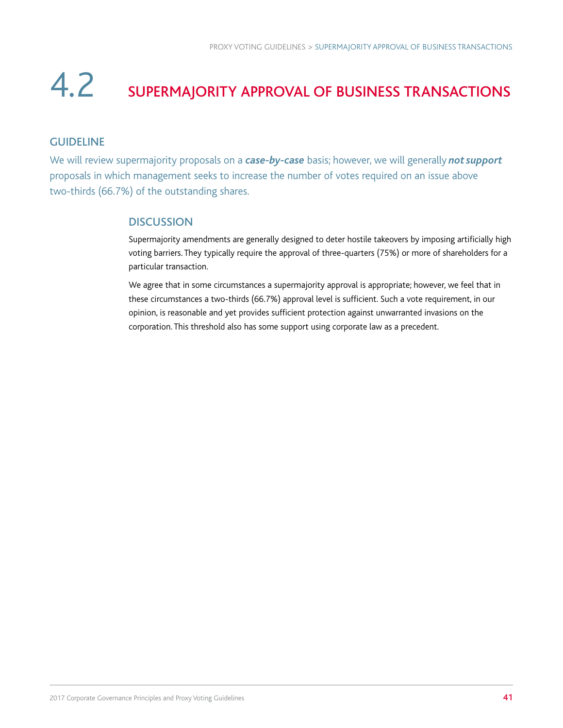### 4.2 SUPERMAJORITY APPROVAL OF BUSINESS TRANSACTIONS

#### GUIDELINE

We will review supermajority proposals on a *case-by-case* basis; however, we will generally *not support* proposals in which management seeks to increase the number of votes required on an issue above two-thirds (66.7%) of the outstanding shares.

#### **DISCUSSION**

Supermajority amendments are generally designed to deter hostile takeovers by imposing artificially high voting barriers. They typically require the approval of three-quarters (75%) or more of shareholders for a particular transaction.

We agree that in some circumstances a supermajority approval is appropriate; however, we feel that in these circumstances a two-thirds (66.7%) approval level is sufficient. Such a vote requirement, in our opinion, is reasonable and yet provides sufficient protection against unwarranted invasions on the corporation. This threshold also has some support using corporate law as a precedent.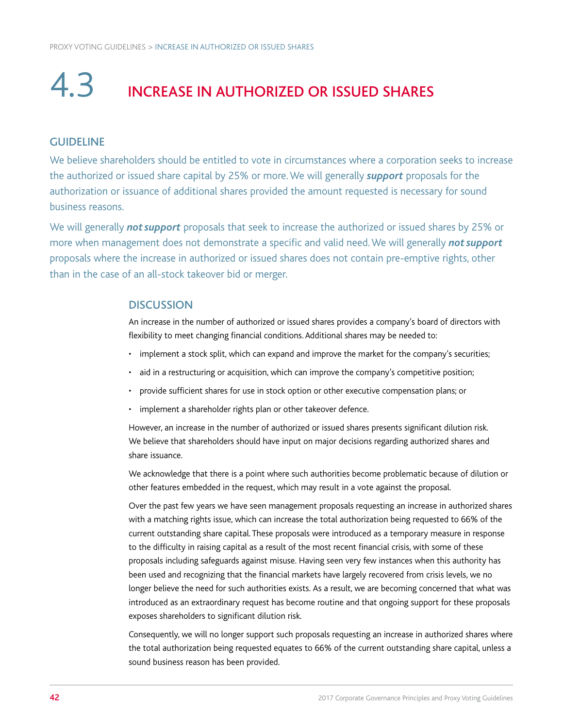## 4.3 INCREASE IN AUTHORIZED OR ISSUED SHARES

#### GUIDELINE

We believe shareholders should be entitled to vote in circumstances where a corporation seeks to increase the authorized or issued share capital by 25% or more. We will generally *support* proposals for the authorization or issuance of additional shares provided the amount requested is necessary for sound business reasons.

We will generally *not support* proposals that seek to increase the authorized or issued shares by 25% or more when management does not demonstrate a specific and valid need. We will generally *not support* proposals where the increase in authorized or issued shares does not contain pre-emptive rights, other than in the case of an all-stock takeover bid or merger.

#### **DISCUSSION**

An increase in the number of authorized or issued shares provides a company's board of directors with flexibility to meet changing financial conditions. Additional shares may be needed to:

- implement a stock split, which can expand and improve the market for the company's securities;
- aid in a restructuring or acquisition, which can improve the company's competitive position;
- provide sufficient shares for use in stock option or other executive compensation plans; or
- implement a shareholder rights plan or other takeover defence.

However, an increase in the number of authorized or issued shares presents significant dilution risk. We believe that shareholders should have input on major decisions regarding authorized shares and share issuance.

We acknowledge that there is a point where such authorities become problematic because of dilution or other features embedded in the request, which may result in a vote against the proposal.

Over the past few years we have seen management proposals requesting an increase in authorized shares with a matching rights issue, which can increase the total authorization being requested to 66% of the current outstanding share capital. These proposals were introduced as a temporary measure in response to the difficulty in raising capital as a result of the most recent financial crisis, with some of these proposals including safeguards against misuse. Having seen very few instances when this authority has been used and recognizing that the financial markets have largely recovered from crisis levels, we no longer believe the need for such authorities exists. As a result, we are becoming concerned that what was introduced as an extraordinary request has become routine and that ongoing support for these proposals exposes shareholders to significant dilution risk.

Consequently, we will no longer support such proposals requesting an increase in authorized shares where the total authorization being requested equates to 66% of the current outstanding share capital, unless a sound business reason has been provided.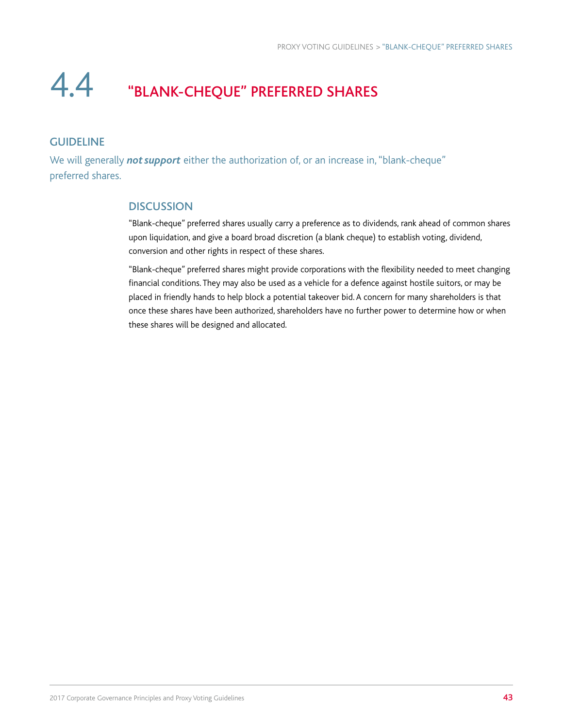### 4.4 "BLANK-CHEQUE" PREFERRED SHARES

#### GUIDELINE

We will generally *not support* either the authorization of, or an increase in, "blank-cheque" preferred shares.

#### **DISCUSSION**

"Blank-cheque" preferred shares usually carry a preference as to dividends, rank ahead of common shares upon liquidation, and give a board broad discretion (a blank cheque) to establish voting, dividend, conversion and other rights in respect of these shares.

"Blank-cheque" preferred shares might provide corporations with the flexibility needed to meet changing financial conditions. They may also be used as a vehicle for a defence against hostile suitors, or may be placed in friendly hands to help block a potential takeover bid. A concern for many shareholders is that once these shares have been authorized, shareholders have no further power to determine how or when these shares will be designed and allocated.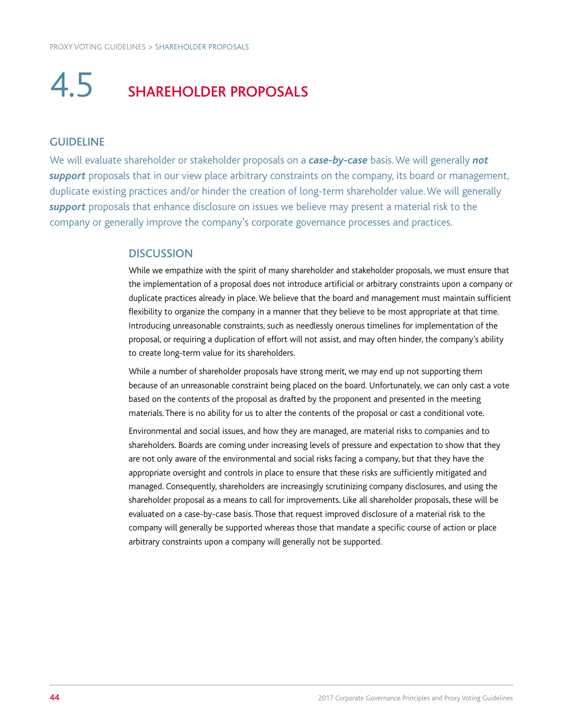### 4.5 SHAREHOLDER PROPOSALS

#### GUIDELINE

We will evaluate shareholder or stakeholder proposals on a *case-by-case* basis. We will generally *not support* proposals that in our view place arbitrary constraints on the company, its board or management, duplicate existing practices and/or hinder the creation of long-term shareholder value. We will generally *support* proposals that enhance disclosure on issues we believe may present a material risk to the company or generally improve the company's corporate governance processes and practices.

#### **DISCUSSION**

While we empathize with the spirit of many shareholder and stakeholder proposals, we must ensure that the implementation of a proposal does not introduce artificial or arbitrary constraints upon a company or duplicate practices already in place. We believe that the board and management must maintain sufficient flexibility to organize the company in a manner that they believe to be most appropriate at that time. Introducing unreasonable constraints, such as needlessly onerous timelines for implementation of the proposal, or requiring a duplication of effort will not assist, and may often hinder, the company's ability to create long-term value for its shareholders.

While a number of shareholder proposals have strong merit, we may end up not supporting them because of an unreasonable constraint being placed on the board. Unfortunately, we can only cast a vote based on the contents of the proposal as drafted by the proponent and presented in the meeting materials. There is no ability for us to alter the contents of the proposal or cast a conditional vote.

Environmental and social issues, and how they are managed, are material risks to companies and to shareholders. Boards are coming under increasing levels of pressure and expectation to show that they are not only aware of the environmental and social risks facing a company, but that they have the appropriate oversight and controls in place to ensure that these risks are sufficiently mitigated and managed. Consequently, shareholders are increasingly scrutinizing company disclosures, and using the shareholder proposal as a means to call for improvements. Like all shareholder proposals, these will be evaluated on a case-by-case basis. Those that request improved disclosure of a material risk to the company will generally be supported whereas those that mandate a specific course of action or place arbitrary constraints upon a company will generally not be supported.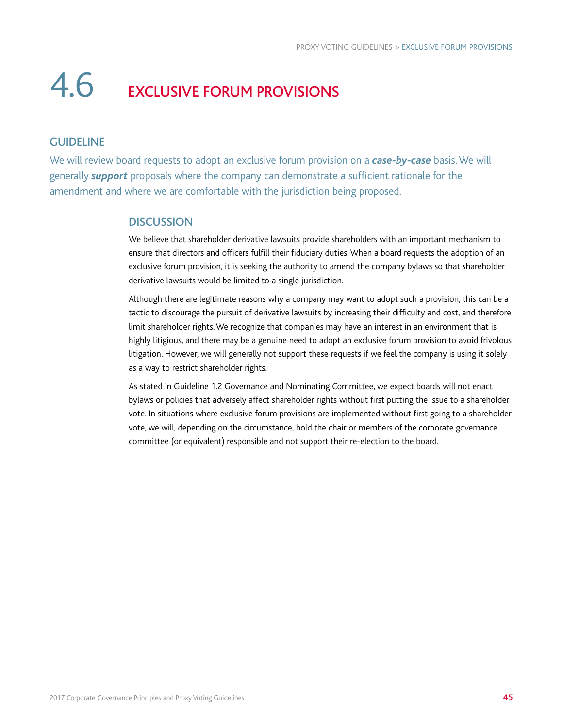### 4.6 EXCLUSIVE FORUM PROVISIONS

#### GUIDELINE

We will review board requests to adopt an exclusive forum provision on a *case-by-case* basis. We will generally *support* proposals where the company can demonstrate a sufficient rationale for the amendment and where we are comfortable with the jurisdiction being proposed.

#### **DISCUSSION**

We believe that shareholder derivative lawsuits provide shareholders with an important mechanism to ensure that directors and officers fulfill their fiduciary duties. When a board requests the adoption of an exclusive forum provision, it is seeking the authority to amend the company bylaws so that shareholder derivative lawsuits would be limited to a single jurisdiction.

Although there are legitimate reasons why a company may want to adopt such a provision, this can be a tactic to discourage the pursuit of derivative lawsuits by increasing their difficulty and cost, and therefore limit shareholder rights. We recognize that companies may have an interest in an environment that is highly litigious, and there may be a genuine need to adopt an exclusive forum provision to avoid frivolous litigation. However, we will generally not support these requests if we feel the company is using it solely as a way to restrict shareholder rights.

As stated in Guideline 1.2 Governance and Nominating Committee, we expect boards will not enact bylaws or policies that adversely affect shareholder rights without first putting the issue to a shareholder vote. In situations where exclusive forum provisions are implemented without first going to a shareholder vote, we will, depending on the circumstance, hold the chair or members of the corporate governance committee (or equivalent) responsible and not support their re-election to the board.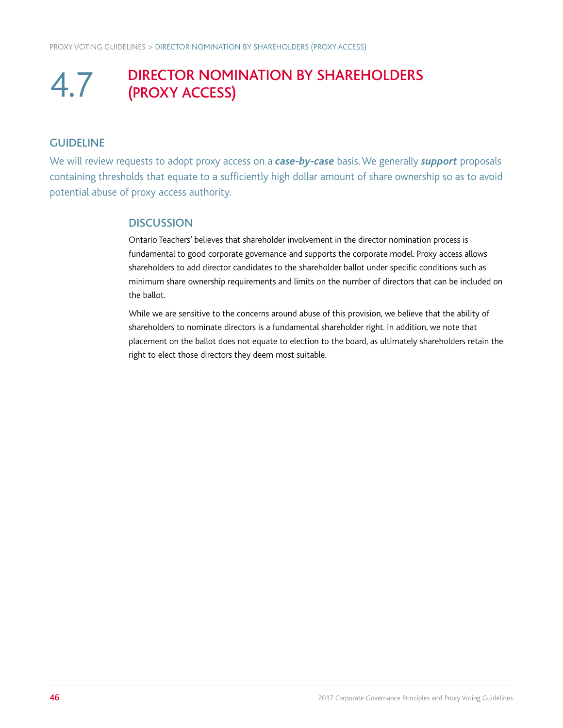### 4.7 DIRECTOR NOMINATION BY SHAREHOLDERS (PROXY ACCESS)

#### **GUIDELINE**

We will review requests to adopt proxy access on a *case-by-case* basis. We generally *support* proposals containing thresholds that equate to a sufficiently high dollar amount of share ownership so as to avoid potential abuse of proxy access authority.

#### **DISCUSSION**

Ontario Teachers' believes that shareholder involvement in the director nomination process is fundamental to good corporate governance and supports the corporate model. Proxy access allows shareholders to add director candidates to the shareholder ballot under specific conditions such as minimum share ownership requirements and limits on the number of directors that can be included on the ballot.

While we are sensitive to the concerns around abuse of this provision, we believe that the ability of shareholders to nominate directors is a fundamental shareholder right. In addition, we note that placement on the ballot does not equate to election to the board, as ultimately shareholders retain the right to elect those directors they deem most suitable.